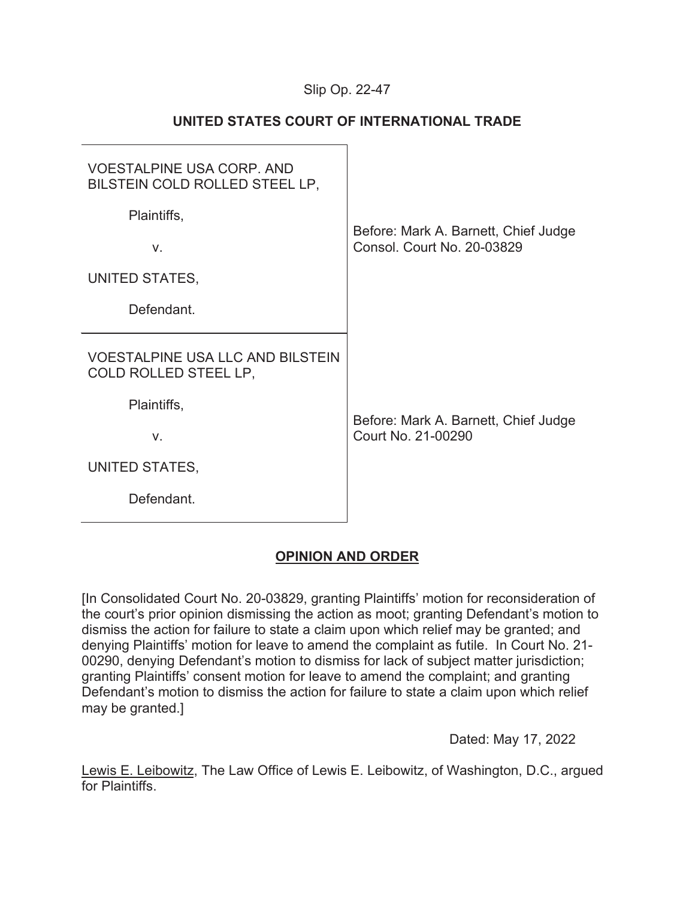## Slip Op. 22-

# **UNITED STATES COURT OF INTERNATIONAL TRADE**

| <b>VOESTALPINE USA CORP. AND</b>                                 |                                                            |
|------------------------------------------------------------------|------------------------------------------------------------|
| BILSTEIN COLD ROLLED STEEL LP,                                   |                                                            |
| Plaintiffs,                                                      | Before: Mark A. Barnett, Chief Judge                       |
| V.                                                               | <b>Consol. Court No. 20-03829</b>                          |
| UNITED STATES,                                                   |                                                            |
| Defendant.                                                       |                                                            |
|                                                                  |                                                            |
| <b>VOESTALPINE USA LLC AND BILSTEIN</b><br>COLD ROLLED STEEL LP, |                                                            |
| Plaintiffs,                                                      |                                                            |
| V.                                                               | Before: Mark A. Barnett, Chief Judge<br>Court No. 21-00290 |
| UNITED STATES,                                                   |                                                            |
| Defendant.                                                       |                                                            |

# **OPINION AND ORDER**

[In Consolidated Court No. 20-03829, granting Plaintiffs' motion for reconsideration of the court's prior opinion dismissing the action as moot; granting Defendant's motion to dismiss the action for failure to state a claim upon which relief may be granted; and denying Plaintiffs' motion for leave to amend the complaint as futile. In Court No. 21- 00290, denying Defendant's motion to dismiss for lack of subject matter jurisdiction; granting Plaintiffs' consent motion for leave to amend the complaint; and granting Defendant's motion to dismiss the action for failure to state a claim upon which relief may be granted.]

Dated: May 17, 2022

Lewis E. Leibowitz, The Law Office of Lewis E. Leibowitz, of Washington, D.C., argued for Plaintiffs.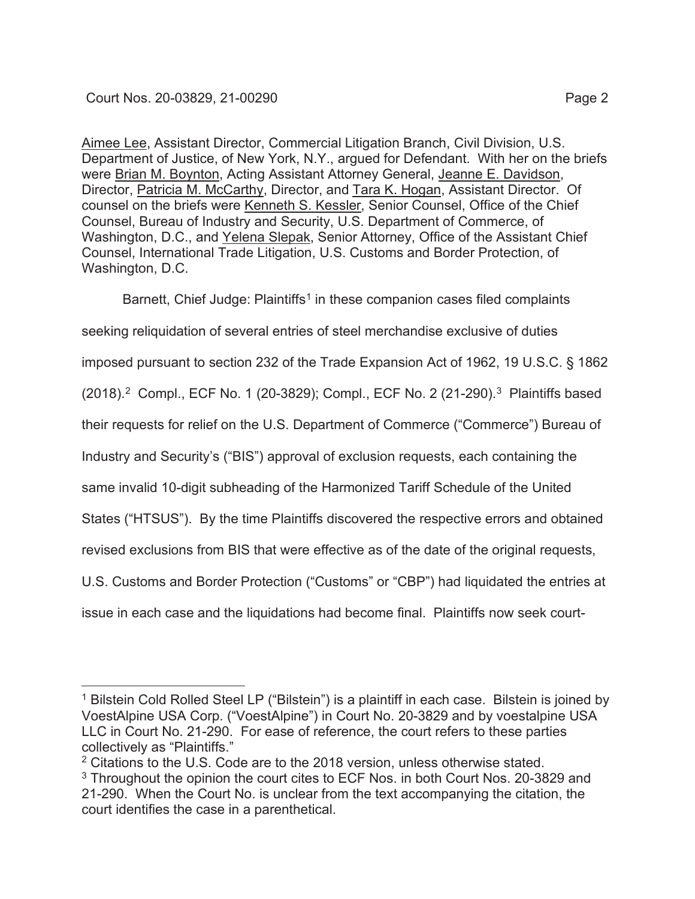Aimee Lee, Assistant Director, Commercial Litigation Branch, Civil Division, U.S. Department of Justice, of New York, N.Y., argued for Defendant. With her on the briefs were Brian M. Boynton, Acting Assistant Attorney General, Jeanne E. Davidson, Director, Patricia M. McCarthy, Director, and Tara K. Hogan, Assistant Director. Of counsel on the briefs were Kenneth S. Kessler, Senior Counsel, Office of the Chief Counsel, Bureau of Industry and Security, U.S. Department of Commerce, of Washington, D.C., and Yelena Slepak, Senior Attorney, Office of the Assistant Chief Counsel, International Trade Litigation, U.S. Customs and Border Protection, of Washington, D.C.

Barnett, Chief Judge: Plaintiffs<sup>1</sup> in these companion cases filed complaints seeking reliquidation of several entries of steel merchandise exclusive of duties imposed pursuant to section 232 of the Trade Expansion Act of 1962, 19 U.S.C. § 1862 (2018).<sup>2</sup> Compl., ECF No. 1 (20-3829); Compl., ECF No. 2 (21-290).<sup>3</sup> Plaintiffs based their requests for relief on the U.S. Department of Commerce ("Commerce") Bureau of Industry and Security's ("BIS") approval of exclusion requests, each containing the same invalid 10-digit subheading of the Harmonized Tariff Schedule of the United States ("HTSUS"). By the time Plaintiffs discovered the respective errors and obtained revised exclusions from BIS that were effective as of the date of the original requests, U.S. Customs and Border Protection ("Customs" or "CBP") had liquidated the entries at issue in each case and the liquidations had become final. Plaintiffs now seek court-

<sup>&</sup>lt;sup>1</sup> Bilstein Cold Rolled Steel LP ("Bilstein") is a plaintiff in each case. Bilstein is joined by VoestAlpine USA Corp. ("VoestAlpine") in Court No. 20-3829 and by voestalpine USA LLC in Court No. 21-290. For ease of reference, the court refers to these parties collectively as "Plaintiffs."

<sup>&</sup>lt;sup>2</sup> Citations to the U.S. Code are to the 2018 version, unless otherwise stated. <sup>3</sup> Throughout the opinion the court cites to ECF Nos. in both Court Nos. 20-3829 and 21-290. When the Court No. is unclear from the text accompanying the citation, the court identifies the case in a parenthetical.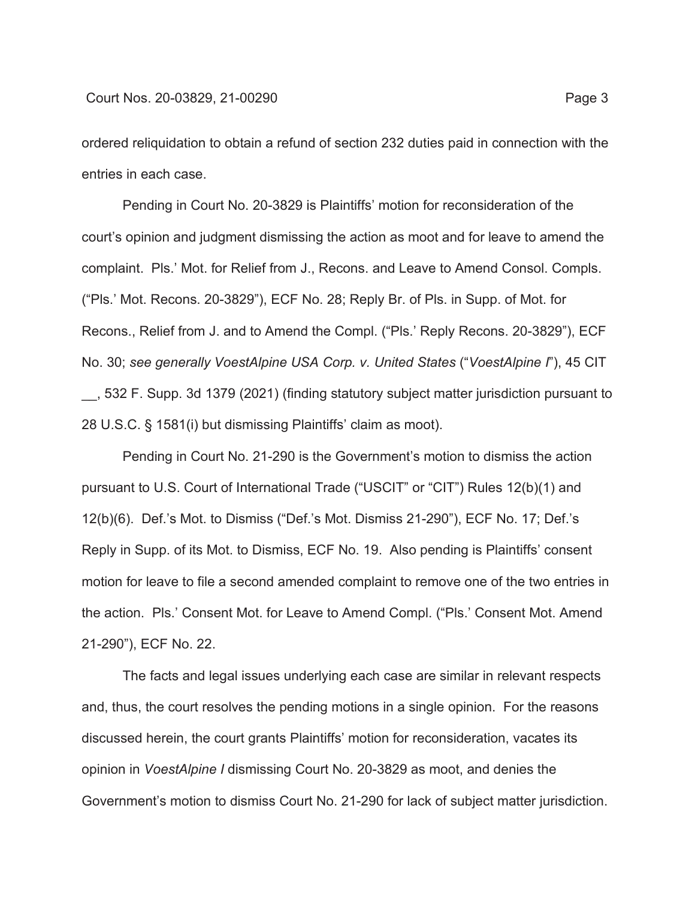ordered reliquidation to obtain a refund of section 232 duties paid in connection with the entries in each case.

Pending in Court No. 20-3829 is Plaintiffs' motion for reconsideration of the court's opinion and judgment dismissing the action as moot and for leave to amend the complaint. Pls.' Mot. for Relief from J., Recons. and Leave to Amend Consol. Compls. ("Pls.' Mot. Recons. 20-3829"), ECF No. 28; Reply Br. of Pls. in Supp. of Mot. for Recons., Relief from J. and to Amend the Compl. ("Pls.' Reply Recons. 20-3829"), ECF No. 30; *see generally VoestAlpine USA Corp. v. United States* ("*VoestAlpine I*"), 45 CIT \_\_, 532 F. Supp. 3d 1379 (2021) (finding statutory subject matter jurisdiction pursuant to 28 U.S.C. § 1581(i) but dismissing Plaintiffs' claim as moot).

Pending in Court No. 21-290 is the Government's motion to dismiss the action pursuant to U.S. Court of International Trade ("USCIT" or "CIT") Rules 12(b)(1) and 12(b)(6). Def.'s Mot. to Dismiss ("Def.'s Mot. Dismiss 21-290"), ECF No. 17; Def.'s Reply in Supp. of its Mot. to Dismiss, ECF No. 19. Also pending is Plaintiffs' consent motion for leave to file a second amended complaint to remove one of the two entries in the action. Pls.' Consent Mot. for Leave to Amend Compl. ("Pls.' Consent Mot. Amend 21-290"), ECF No. 22.

The facts and legal issues underlying each case are similar in relevant respects and, thus, the court resolves the pending motions in a single opinion. For the reasons discussed herein, the court grants Plaintiffs' motion for reconsideration, vacates its opinion in *VoestAlpine I* dismissing Court No. 20-3829 as moot, and denies the Government's motion to dismiss Court No. 21-290 for lack of subject matter jurisdiction.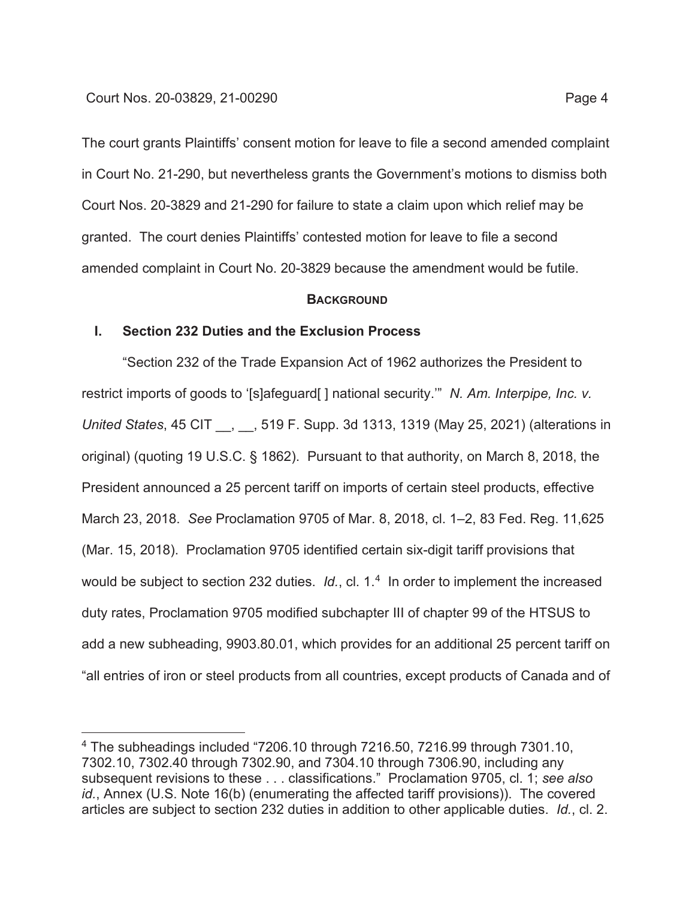The court grants Plaintiffs' consent motion for leave to file a second amended complaint in Court No. 21-290, but nevertheless grants the Government's motions to dismiss both Court Nos. 20-3829 and 21-290 for failure to state a claim upon which relief may be granted. The court denies Plaintiffs' contested motion for leave to file a second amended complaint in Court No. 20-3829 because the amendment would be futile.

### **BACKGROUND**

### **I. Section 232 Duties and the Exclusion Process**

"Section 232 of the Trade Expansion Act of 1962 authorizes the President to restrict imports of goods to '[s]afeguard[ ] national security.'" *N. Am. Interpipe, Inc. v. United States*, 45 CIT \_\_, \_\_, 519 F. Supp. 3d 1313, 1319 (May 25, 2021) (alterations in original) (quoting 19 U.S.C. § 1862). Pursuant to that authority, on March 8, 2018, the President announced a 25 percent tariff on imports of certain steel products, effective March 23, 2018. *See* Proclamation 9705 of Mar. 8, 2018, cl. 1–2, 83 Fed. Reg. 11,625 (Mar. 15, 2018). Proclamation 9705 identified certain six-digit tariff provisions that would be subject to section 232 duties. *Id.*, cl. 1.<sup>4</sup> In order to implement the increased duty rates, Proclamation 9705 modified subchapter III of chapter 99 of the HTSUS to add a new subheading, 9903.80.01, which provides for an additional 25 percent tariff on "all entries of iron or steel products from all countries, except products of Canada and of

<sup>4</sup> The subheadings included "7206.10 through 7216.50, 7216.99 through 7301.10, 7302.10, 7302.40 through 7302.90, and 7304.10 through 7306.90, including any subsequent revisions to these . . . classifications." Proclamation 9705, cl. 1; *see also id.*, Annex (U.S. Note 16(b) (enumerating the affected tariff provisions)). The covered articles are subject to section 232 duties in addition to other applicable duties. *Id.*, cl. 2.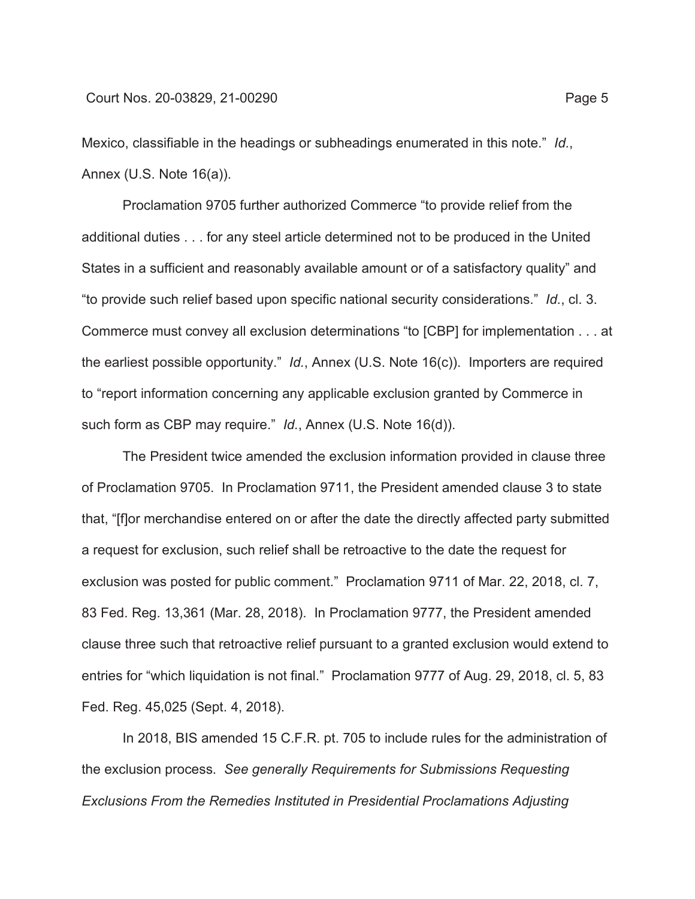Mexico, classifiable in the headings or subheadings enumerated in this note." *Id.*, Annex (U.S. Note 16(a)).

Proclamation 9705 further authorized Commerce "to provide relief from the additional duties . . . for any steel article determined not to be produced in the United States in a sufficient and reasonably available amount or of a satisfactory quality" and "to provide such relief based upon specific national security considerations." *Id.*, cl. 3. Commerce must convey all exclusion determinations "to [CBP] for implementation . . . at the earliest possible opportunity." *Id.*, Annex (U.S. Note 16(c)). Importers are required to "report information concerning any applicable exclusion granted by Commerce in such form as CBP may require." *Id.*, Annex (U.S. Note 16(d)).

The President twice amended the exclusion information provided in clause three of Proclamation 9705. In Proclamation 9711, the President amended clause 3 to state that, "[f]or merchandise entered on or after the date the directly affected party submitted a request for exclusion, such relief shall be retroactive to the date the request for exclusion was posted for public comment." Proclamation 9711 of Mar. 22, 2018, cl. 7, 83 Fed. Reg. 13,361 (Mar. 28, 2018). In Proclamation 9777, the President amended clause three such that retroactive relief pursuant to a granted exclusion would extend to entries for "which liquidation is not final." Proclamation 9777 of Aug. 29, 2018, cl. 5, 83 Fed. Reg. 45,025 (Sept. 4, 2018).

In 2018, BIS amended 15 C.F.R. pt. 705 to include rules for the administration of the exclusion process. *See generally Requirements for Submissions Requesting Exclusions From the Remedies Instituted in Presidential Proclamations Adjusting*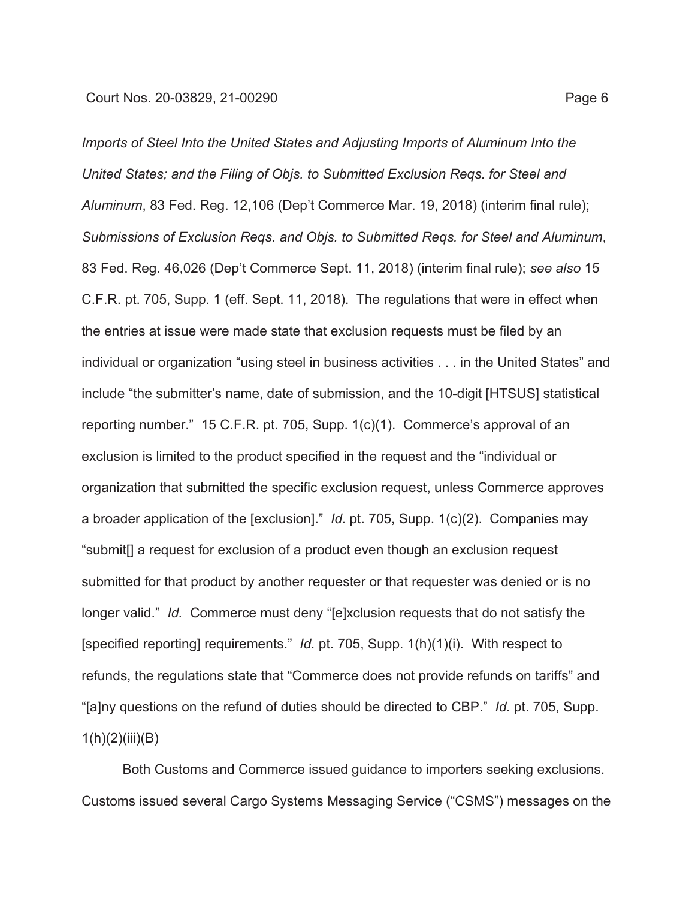*Imports of Steel Into the United States and Adjusting Imports of Aluminum Into the United States; and the Filing of Objs. to Submitted Exclusion Reqs. for Steel and Aluminum*, 83 Fed. Reg. 12,106 (Dep't Commerce Mar. 19, 2018) (interim final rule); *Submissions of Exclusion Reqs. and Objs. to Submitted Reqs. for Steel and Aluminum*, 83 Fed. Reg. 46,026 (Dep't Commerce Sept. 11, 2018) (interim final rule); *see also* 15 C.F.R. pt. 705, Supp. 1 (eff. Sept. 11, 2018). The regulations that were in effect when the entries at issue were made state that exclusion requests must be filed by an individual or organization "using steel in business activities . . . in the United States" and include "the submitter's name, date of submission, and the 10-digit [HTSUS] statistical reporting number." 15 C.F.R. pt. 705, Supp. 1(c)(1). Commerce's approval of an exclusion is limited to the product specified in the request and the "individual or organization that submitted the specific exclusion request, unless Commerce approves a broader application of the [exclusion]." *Id.* pt. 705, Supp. 1(c)(2). Companies may "submit[] a request for exclusion of a product even though an exclusion request submitted for that product by another requester or that requester was denied or is no longer valid." *Id.* Commerce must deny "[e]xclusion requests that do not satisfy the [specified reporting] requirements." *Id.* pt. 705, Supp. 1(h)(1)(i). With respect to refunds, the regulations state that "Commerce does not provide refunds on tariffs" and "[a]ny questions on the refund of duties should be directed to CBP." *Id.* pt. 705, Supp.  $1(h)(2)(iii)(B)$ 

Both Customs and Commerce issued guidance to importers seeking exclusions. Customs issued several Cargo Systems Messaging Service ("CSMS") messages on the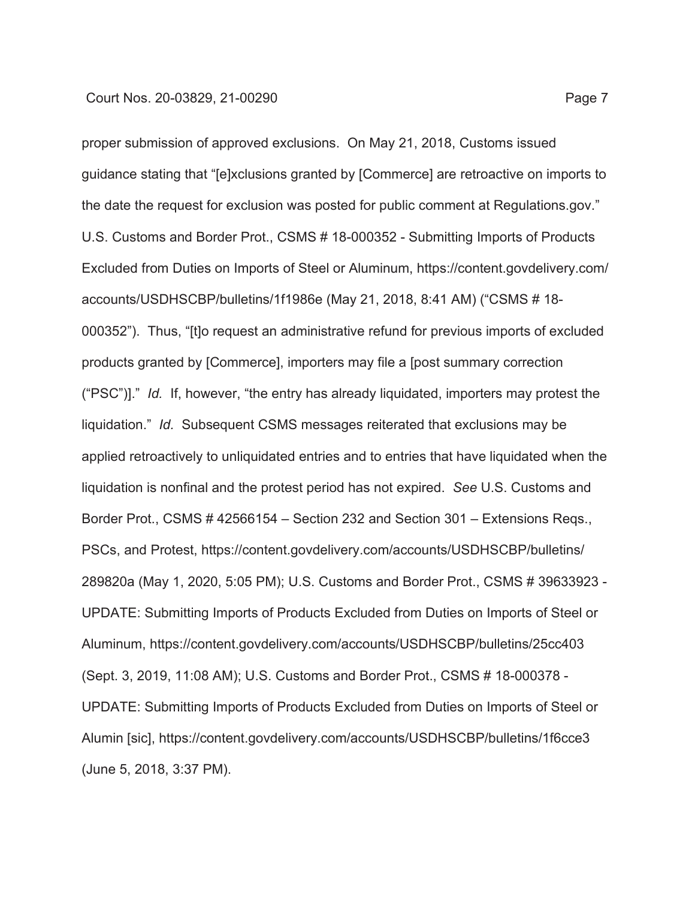proper submission of approved exclusions. On May 21, 2018, Customs issued guidance stating that "[e]xclusions granted by [Commerce] are retroactive on imports to the date the request for exclusion was posted for public comment at Regulations.gov." U.S. Customs and Border Prot., CSMS # 18-000352 - Submitting Imports of Products Excluded from Duties on Imports of Steel or Aluminum, https://content.govdelivery.com/ accounts/USDHSCBP/bulletins/1f1986e (May 21, 2018, 8:41 AM) ("CSMS # 18- 000352"). Thus, "[t]o request an administrative refund for previous imports of excluded products granted by [Commerce], importers may file a [post summary correction ("PSC")]." *Id.* If, however, "the entry has already liquidated, importers may protest the liquidation." *Id.* Subsequent CSMS messages reiterated that exclusions may be applied retroactively to unliquidated entries and to entries that have liquidated when the liquidation is nonfinal and the protest period has not expired. *See* U.S. Customs and Border Prot., CSMS # 42566154 – Section 232 and Section 301 – Extensions Reqs., PSCs, and Protest, https://content.govdelivery.com/accounts/USDHSCBP/bulletins/ 289820a (May 1, 2020, 5:05 PM); U.S. Customs and Border Prot., CSMS # 39633923 - UPDATE: Submitting Imports of Products Excluded from Duties on Imports of Steel or Aluminum, https://content.govdelivery.com/accounts/USDHSCBP/bulletins/25cc403 (Sept. 3, 2019, 11:08 AM); U.S. Customs and Border Prot., CSMS # 18-000378 - UPDATE: Submitting Imports of Products Excluded from Duties on Imports of Steel or Alumin [sic], https://content.govdelivery.com/accounts/USDHSCBP/bulletins/1f6cce3 (June 5, 2018, 3:37 PM).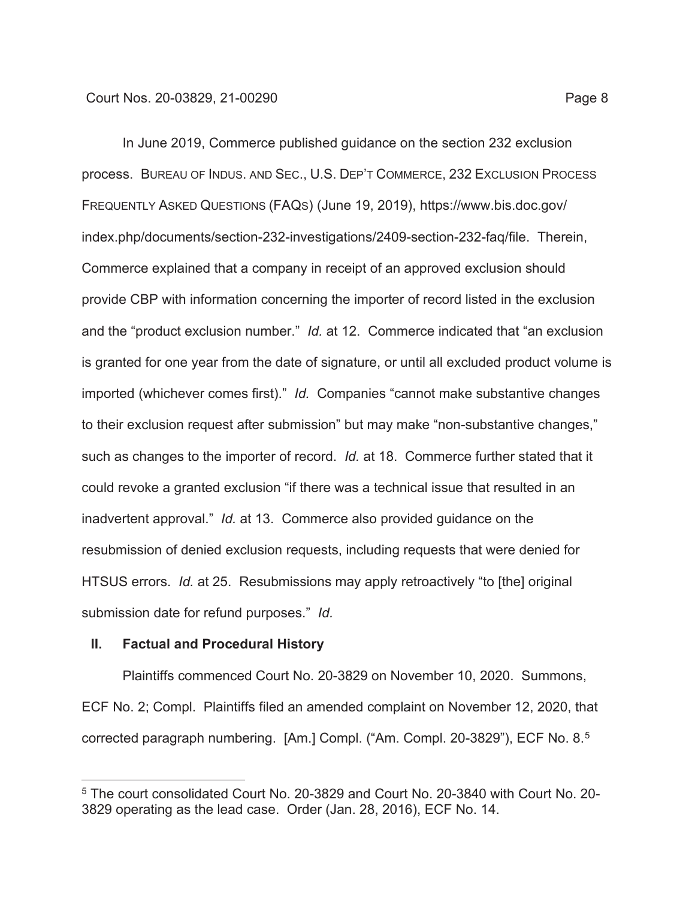In June 2019, Commerce published guidance on the section 232 exclusion process. BUREAU OF INDUS. AND SEC., U.S. DEP'T COMMERCE, 232 EXCLUSION PROCESS FREQUENTLY ASKED QUESTIONS (FAQS) (June 19, 2019), https://www.bis.doc.gov/ index.php/documents/section-232-investigations/2409-section-232-faq/file. Therein, Commerce explained that a company in receipt of an approved exclusion should provide CBP with information concerning the importer of record listed in the exclusion and the "product exclusion number." *Id.* at 12. Commerce indicated that "an exclusion is granted for one year from the date of signature, or until all excluded product volume is imported (whichever comes first)." *Id.* Companies "cannot make substantive changes to their exclusion request after submission" but may make "non-substantive changes," such as changes to the importer of record. *Id.* at 18. Commerce further stated that it could revoke a granted exclusion "if there was a technical issue that resulted in an inadvertent approval." *Id.* at 13. Commerce also provided guidance on the resubmission of denied exclusion requests, including requests that were denied for HTSUS errors. *Id.* at 25. Resubmissions may apply retroactively "to [the] original submission date for refund purposes." *Id.*

### **II. Factual and Procedural History**

Plaintiffs commenced Court No. 20-3829 on November 10, 2020. Summons, ECF No. 2; Compl. Plaintiffs filed an amended complaint on November 12, 2020, that corrected paragraph numbering. [Am.] Compl. ("Am. Compl. 20-3829"), ECF No. 8.5

<sup>5</sup> The court consolidated Court No. 20-3829 and Court No. 20-3840 with Court No. 20- 3829 operating as the lead case. Order (Jan. 28, 2016), ECF No. 14.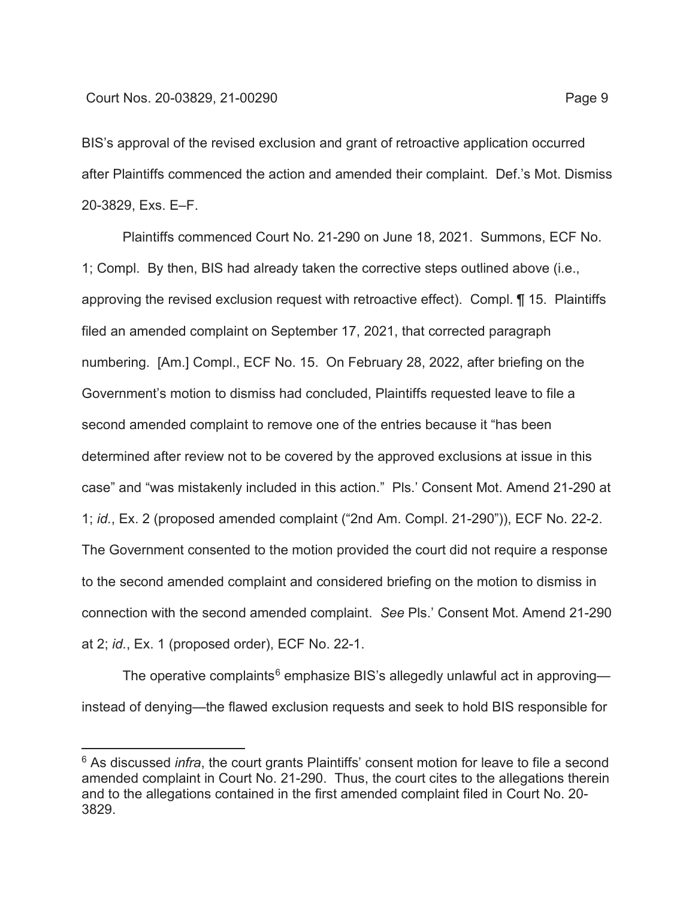BIS's approval of the revised exclusion and grant of retroactive application occurred after Plaintiffs commenced the action and amended their complaint. Def.'s Mot. Dismiss 20-3829, Exs. E–F.

Plaintiffs commenced Court No. 21-290 on June 18, 2021. Summons, ECF No. 1; Compl. By then, BIS had already taken the corrective steps outlined above (i.e., approving the revised exclusion request with retroactive effect). Compl. ¶ 15. Plaintiffs filed an amended complaint on September 17, 2021, that corrected paragraph numbering. [Am.] Compl., ECF No. 15. On February 28, 2022, after briefing on the Government's motion to dismiss had concluded, Plaintiffs requested leave to file a second amended complaint to remove one of the entries because it "has been determined after review not to be covered by the approved exclusions at issue in this case" and "was mistakenly included in this action." Pls.' Consent Mot. Amend 21-290 at 1; *id.*, Ex. 2 (proposed amended complaint ("2nd Am. Compl. 21-290")), ECF No. 22-2. The Government consented to the motion provided the court did not require a response to the second amended complaint and considered briefing on the motion to dismiss in connection with the second amended complaint. *See* Pls.' Consent Mot. Amend 21-290 at 2; *id.*, Ex. 1 (proposed order), ECF No. 22-1.

The operative complaints<sup>6</sup> emphasize BIS's allegedly unlawful act in approving instead of denying—the flawed exclusion requests and seek to hold BIS responsible for

<sup>&</sup>lt;sup>6</sup> As discussed *infra*, the court grants Plaintiffs' consent motion for leave to file a second amended complaint in Court No. 21-290. Thus, the court cites to the allegations therein and to the allegations contained in the first amended complaint filed in Court No. 20- 3829.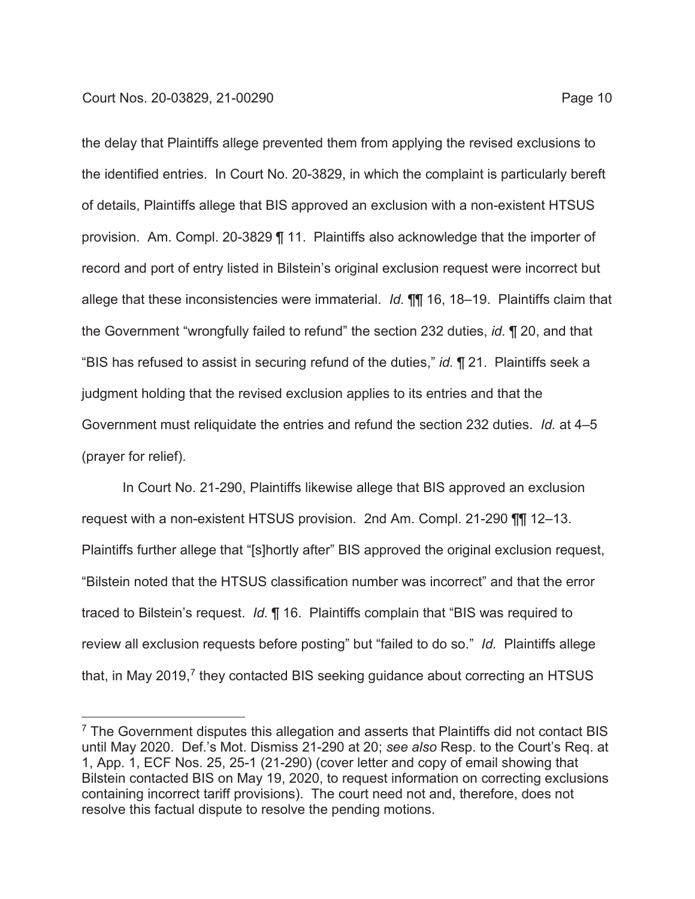the delay that Plaintiffs allege prevented them from applying the revised exclusions to the identified entries. In Court No. 20-3829, in which the complaint is particularly bereft of details, Plaintiffs allege that BIS approved an exclusion with a non-existent HTSUS provision. Am. Compl. 20-3829 ¶ 11. Plaintiffs also acknowledge that the importer of record and port of entry listed in Bilstein's original exclusion request were incorrect but allege that these inconsistencies were immaterial. *Id.* ¶¶ 16, 18–19. Plaintiffs claim that the Government "wrongfully failed to refund" the section 232 duties, *id.* ¶ 20, and that "BIS has refused to assist in securing refund of the duties," *id.* ¶ 21. Plaintiffs seek a judgment holding that the revised exclusion applies to its entries and that the Government must reliquidate the entries and refund the section 232 duties. *Id.* at 4–5 (prayer for relief).

In Court No. 21-290, Plaintiffs likewise allege that BIS approved an exclusion request with a non-existent HTSUS provision. 2nd Am. Compl. 21-290 ¶¶ 12–13. Plaintiffs further allege that "[s]hortly after" BIS approved the original exclusion request, "Bilstein noted that the HTSUS classification number was incorrect" and that the error traced to Bilstein's request. *Id.* ¶ 16. Plaintiffs complain that "BIS was required to review all exclusion requests before posting" but "failed to do so." *Id.* Plaintiffs allege that, in May 2019,<sup>7</sup> they contacted BIS seeking guidance about correcting an HTSUS

 $7$  The Government disputes this allegation and asserts that Plaintiffs did not contact BIS until May 2020. Def.'s Mot. Dismiss 21-290 at 20; *see also* Resp. to the Court's Req. at 1, App. 1, ECF Nos. 25, 25-1 (21-290) (cover letter and copy of email showing that Bilstein contacted BIS on May 19, 2020, to request information on correcting exclusions containing incorrect tariff provisions). The court need not and, therefore, does not resolve this factual dispute to resolve the pending motions.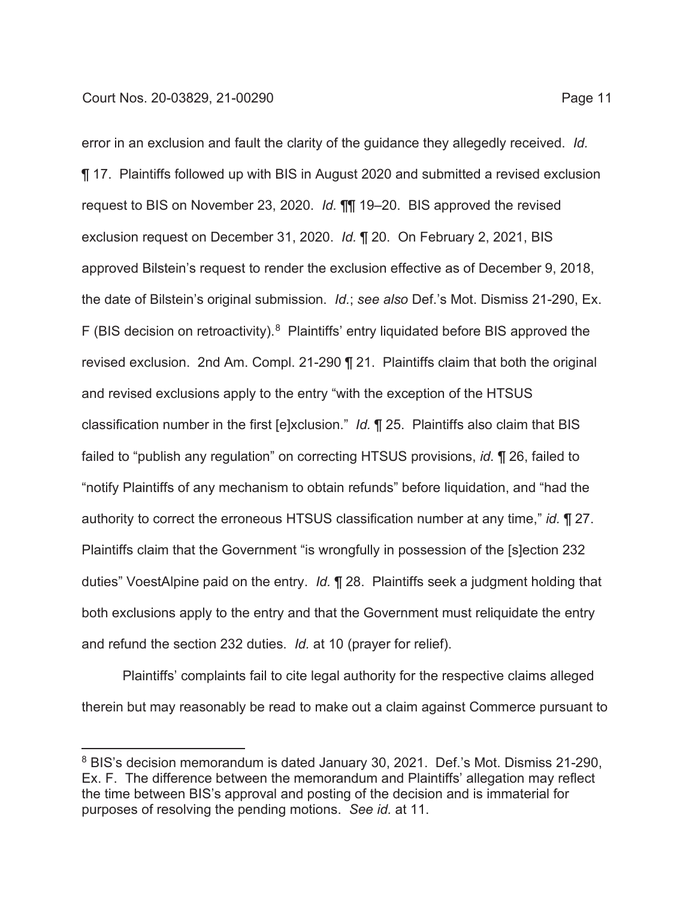error in an exclusion and fault the clarity of the guidance they allegedly received. *Id.* ¶ 17. Plaintiffs followed up with BIS in August 2020 and submitted a revised exclusion request to BIS on November 23, 2020. *Id.* ¶¶ 19–20. BIS approved the revised exclusion request on December 31, 2020. *Id.* ¶ 20. On February 2, 2021, BIS approved Bilstein's request to render the exclusion effective as of December 9, 2018, the date of Bilstein's original submission. *Id.*; *see also* Def.'s Mot. Dismiss 21-290, Ex. F (BIS decision on retroactivity). $8$  Plaintiffs' entry liquidated before BIS approved the revised exclusion. 2nd Am. Compl. 21-290 ¶ 21. Plaintiffs claim that both the original and revised exclusions apply to the entry "with the exception of the HTSUS classification number in the first [e]xclusion." *Id.* ¶ 25. Plaintiffs also claim that BIS failed to "publish any regulation" on correcting HTSUS provisions, *id.* ¶ 26, failed to "notify Plaintiffs of any mechanism to obtain refunds" before liquidation, and "had the authority to correct the erroneous HTSUS classification number at any time," *id.* ¶ 27. Plaintiffs claim that the Government "is wrongfully in possession of the [s]ection 232 duties" VoestAlpine paid on the entry. *Id.* ¶ 28. Plaintiffs seek a judgment holding that both exclusions apply to the entry and that the Government must reliquidate the entry and refund the section 232 duties. *Id.* at 10 (prayer for relief).

Plaintiffs' complaints fail to cite legal authority for the respective claims alleged therein but may reasonably be read to make out a claim against Commerce pursuant to

<sup>&</sup>lt;sup>8</sup> BIS's decision memorandum is dated January 30, 2021. Def.'s Mot. Dismiss 21-290, Ex. F. The difference between the memorandum and Plaintiffs' allegation may reflect the time between BIS's approval and posting of the decision and is immaterial for purposes of resolving the pending motions. *See id.* at 11.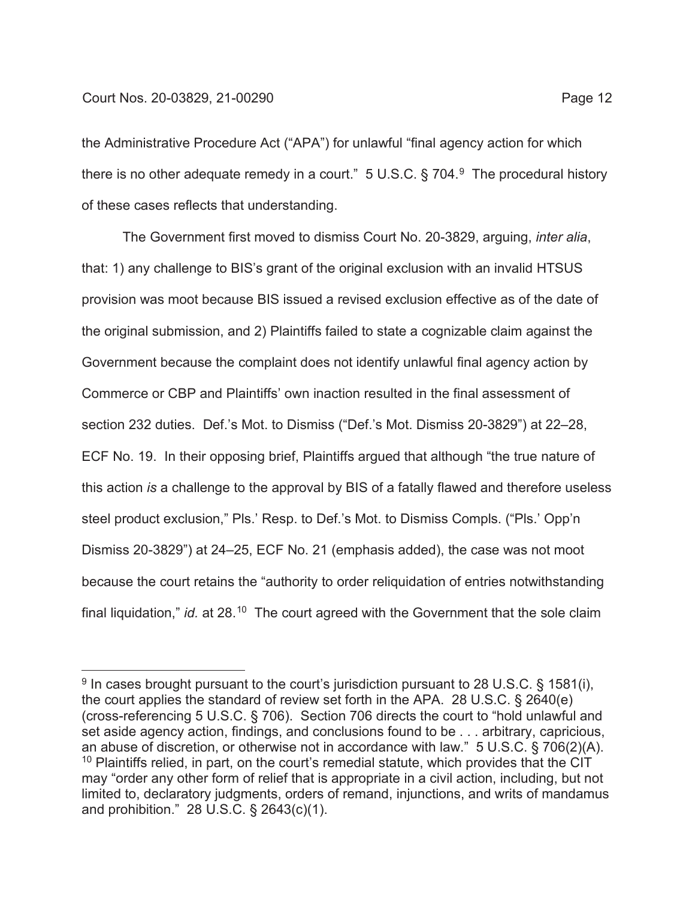the Administrative Procedure Act ("APA") for unlawful "final agency action for which there is no other adequate remedy in a court."  $5 \text{ U.S.C.}$  § 704. $9 \text{ The procedural history}$ of these cases reflects that understanding.

The Government first moved to dismiss Court No. 20-3829, arguing, *inter alia*, that: 1) any challenge to BIS's grant of the original exclusion with an invalid HTSUS provision was moot because BIS issued a revised exclusion effective as of the date of the original submission, and 2) Plaintiffs failed to state a cognizable claim against the Government because the complaint does not identify unlawful final agency action by Commerce or CBP and Plaintiffs' own inaction resulted in the final assessment of section 232 duties. Def.'s Mot. to Dismiss ("Def.'s Mot. Dismiss 20-3829") at 22–28, ECF No. 19. In their opposing brief, Plaintiffs argued that although "the true nature of this action *is* a challenge to the approval by BIS of a fatally flawed and therefore useless steel product exclusion," Pls.' Resp. to Def.'s Mot. to Dismiss Compls. ("Pls.' Opp'n Dismiss 20-3829") at 24–25, ECF No. 21 (emphasis added), the case was not moot because the court retains the "authority to order reliquidation of entries notwithstanding final liquidation," *id.* at 28.<sup>10</sup> The court agreed with the Government that the sole claim

 $9$  In cases brought pursuant to the court's jurisdiction pursuant to 28 U.S.C. § 1581(i), the court applies the standard of review set forth in the APA. 28 U.S.C. § 2640(e) (cross-referencing 5 U.S.C. § 706). Section 706 directs the court to "hold unlawful and set aside agency action, findings, and conclusions found to be . . . arbitrary, capricious, an abuse of discretion, or otherwise not in accordance with law." 5 U.S.C. § 706(2)(A).  $10$  Plaintiffs relied, in part, on the court's remedial statute, which provides that the CIT may "order any other form of relief that is appropriate in a civil action, including, but not limited to, declaratory judgments, orders of remand, injunctions, and writs of mandamus and prohibition." 28 U.S.C. § 2643(c)(1).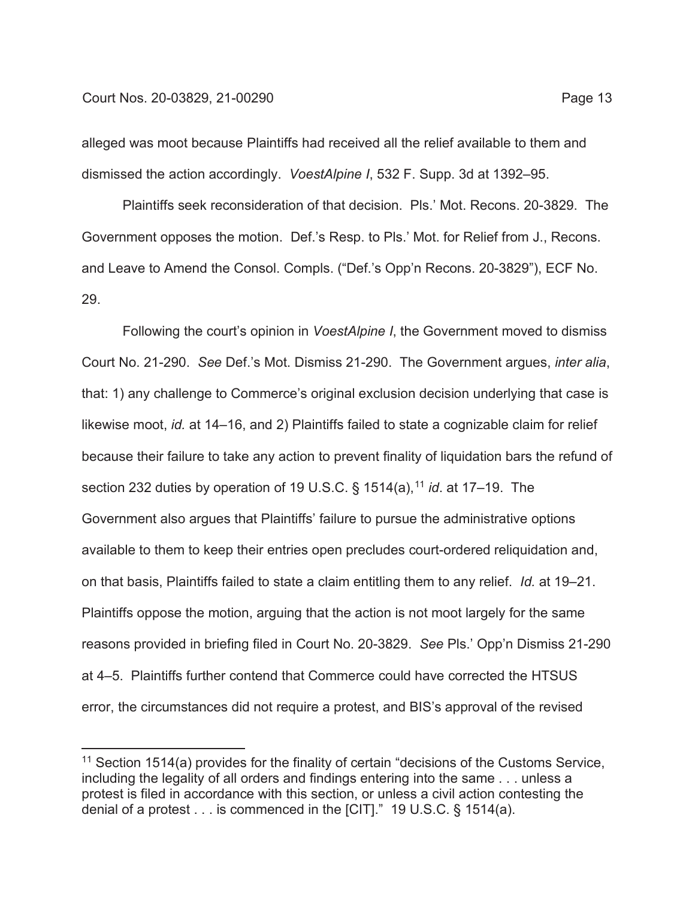alleged was moot because Plaintiffs had received all the relief available to them and dismissed the action accordingly. *VoestAlpine I*, 532 F. Supp. 3d at 1392–95.

Plaintiffs seek reconsideration of that decision. Pls.' Mot. Recons. 20-3829. The Government opposes the motion. Def.'s Resp. to Pls.' Mot. for Relief from J., Recons. and Leave to Amend the Consol. Compls. ("Def.'s Opp'n Recons. 20-3829"), ECF No. 29.

Following the court's opinion in *VoestAlpine I*, the Government moved to dismiss Court No. 21-290. *See* Def.'s Mot. Dismiss 21-290. The Government argues, *inter alia*, that: 1) any challenge to Commerce's original exclusion decision underlying that case is likewise moot, *id.* at 14–16, and 2) Plaintiffs failed to state a cognizable claim for relief because their failure to take any action to prevent finality of liquidation bars the refund of section 232 duties by operation of 19 U.S.C. § 1514(a),<sup>11</sup> *id*. at 17–19. The Government also argues that Plaintiffs' failure to pursue the administrative options available to them to keep their entries open precludes court-ordered reliquidation and, on that basis, Plaintiffs failed to state a claim entitling them to any relief. *Id.* at 19–21. Plaintiffs oppose the motion, arguing that the action is not moot largely for the same reasons provided in briefing filed in Court No. 20-3829. *See* Pls.' Opp'n Dismiss 21-290 at 4–5. Plaintiffs further contend that Commerce could have corrected the HTSUS error, the circumstances did not require a protest, and BIS's approval of the revised

 $11$  Section 1514(a) provides for the finality of certain "decisions of the Customs Service, including the legality of all orders and findings entering into the same . . . unless a protest is filed in accordance with this section, or unless a civil action contesting the denial of a protest . . . is commenced in the [CIT]." 19 U.S.C. § 1514(a).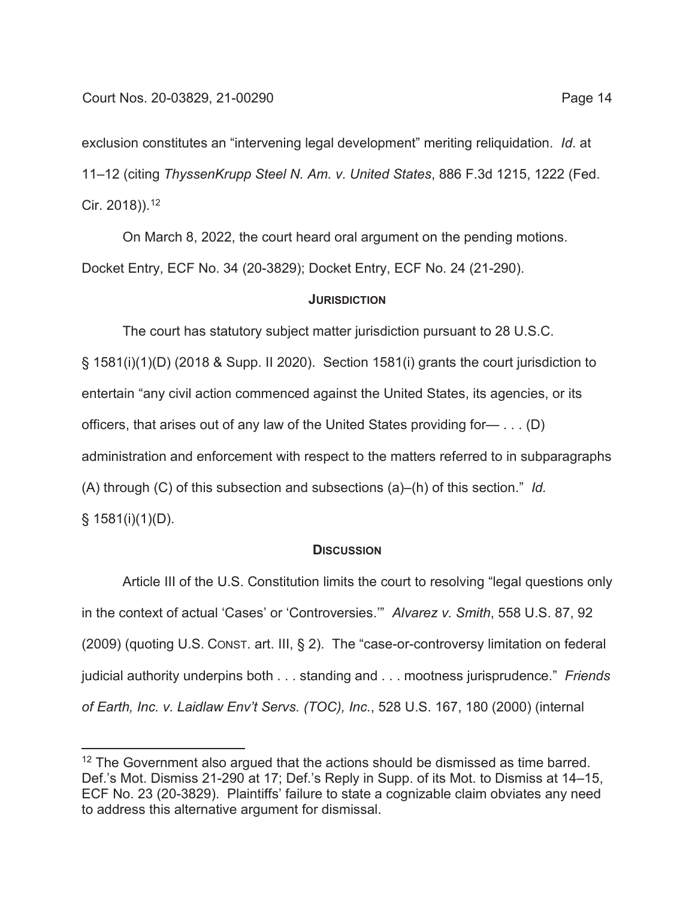exclusion constitutes an "intervening legal development" meriting reliquidation. *Id*. at 11–12 (citing *ThyssenKrupp Steel N. Am. v. United States*, 886 F.3d 1215, 1222 (Fed. Cir. 2018)).12

On March 8, 2022, the court heard oral argument on the pending motions. Docket Entry, ECF No. 34 (20-3829); Docket Entry, ECF No. 24 (21-290).

### **JURISDICTION**

The court has statutory subject matter jurisdiction pursuant to 28 U.S.C. § 1581(i)(1)(D) (2018 & Supp. II 2020). Section 1581(i) grants the court jurisdiction to entertain "any civil action commenced against the United States, its agencies, or its officers, that arises out of any law of the United States providing for— . . . (D) administration and enforcement with respect to the matters referred to in subparagraphs (A) through (C) of this subsection and subsections (a)–(h) of this section." *Id.*  $§ 1581(i)(1)(D)$ .

### **DISCUSSION**

Article III of the U.S. Constitution limits the court to resolving "legal questions only in the context of actual 'Cases' or 'Controversies.'" *Alvarez v. Smith*, 558 U.S. 87, 92 (2009) (quoting U.S. CONST. art. III, § 2). The "case-or-controversy limitation on federal judicial authority underpins both . . . standing and . . . mootness jurisprudence." *Friends of Earth, Inc. v. Laidlaw Env't Servs. (TOC), Inc.*, 528 U.S. 167, 180 (2000) (internal

 $12$  The Government also argued that the actions should be dismissed as time barred. Def.'s Mot. Dismiss 21-290 at 17; Def.'s Reply in Supp. of its Mot. to Dismiss at 14–15, ECF No. 23 (20-3829). Plaintiffs' failure to state a cognizable claim obviates any need to address this alternative argument for dismissal.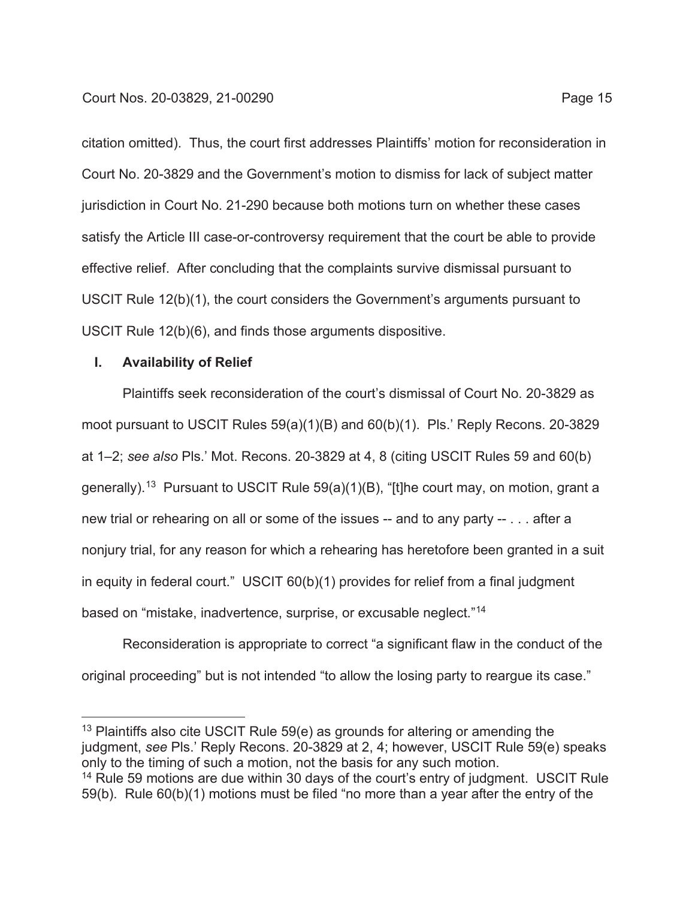citation omitted). Thus, the court first addresses Plaintiffs' motion for reconsideration in Court No. 20-3829 and the Government's motion to dismiss for lack of subject matter jurisdiction in Court No. 21-290 because both motions turn on whether these cases satisfy the Article III case-or-controversy requirement that the court be able to provide effective relief. After concluding that the complaints survive dismissal pursuant to USCIT Rule 12(b)(1), the court considers the Government's arguments pursuant to USCIT Rule 12(b)(6), and finds those arguments dispositive.

## **I. Availability of Relief**

Plaintiffs seek reconsideration of the court's dismissal of Court No. 20-3829 as moot pursuant to USCIT Rules 59(a)(1)(B) and 60(b)(1). Pls.' Reply Recons. 20-3829 at 1–2; *see also* Pls.' Mot. Recons. 20-3829 at 4, 8 (citing USCIT Rules 59 and 60(b) generally).13 Pursuant to USCIT Rule 59(a)(1)(B), "[t]he court may, on motion, grant a new trial or rehearing on all or some of the issues -- and to any party -- . . . after a nonjury trial, for any reason for which a rehearing has heretofore been granted in a suit in equity in federal court." USCIT 60(b)(1) provides for relief from a final judgment based on "mistake, inadvertence, surprise, or excusable neglect."14

Reconsideration is appropriate to correct "a significant flaw in the conduct of the original proceeding" but is not intended "to allow the losing party to reargue its case."

<sup>&</sup>lt;sup>13</sup> Plaintiffs also cite USCIT Rule 59(e) as grounds for altering or amending the judgment, *see* Pls.' Reply Recons. 20-3829 at 2, 4; however, USCIT Rule 59(e) speaks only to the timing of such a motion, not the basis for any such motion. <sup>14</sup> Rule 59 motions are due within 30 days of the court's entry of judgment. USCIT Rule

<sup>59(</sup>b). Rule 60(b)(1) motions must be filed "no more than a year after the entry of the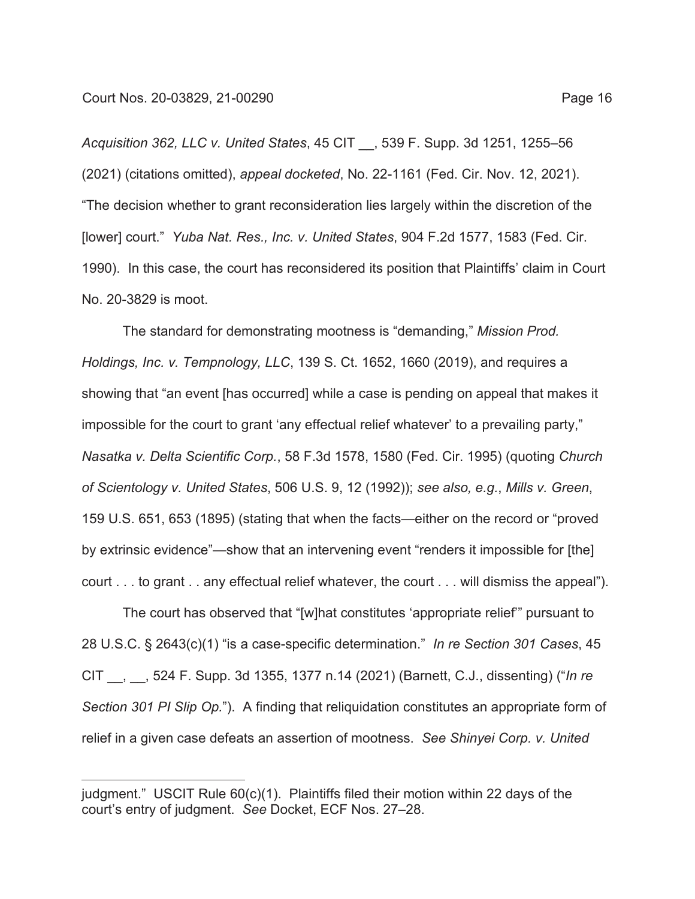*Acquisition 362, LLC v. United States*, 45 CIT \_\_, 539 F. Supp. 3d 1251, 1255–56 (2021) (citations omitted), *appeal docketed*, No. 22-1161 (Fed. Cir. Nov. 12, 2021). "The decision whether to grant reconsideration lies largely within the discretion of the [lower] court." *Yuba Nat. Res., Inc. v. United States*, 904 F.2d 1577, 1583 (Fed. Cir. 1990). In this case, the court has reconsidered its position that Plaintiffs' claim in Court No. 20-3829 is moot.

The standard for demonstrating mootness is "demanding," *Mission Prod. Holdings, Inc. v. Tempnology, LLC*, 139 S. Ct. 1652, 1660 (2019), and requires a showing that "an event [has occurred] while a case is pending on appeal that makes it impossible for the court to grant 'any effectual relief whatever' to a prevailing party," *Nasatka v. Delta Scientific Corp.*, 58 F.3d 1578, 1580 (Fed. Cir. 1995) (quoting *Church of Scientology v. United States*, 506 U.S. 9, 12 (1992)); *see also, e.g.*, *Mills v. Green*, 159 U.S. 651, 653 (1895) (stating that when the facts—either on the record or "proved by extrinsic evidence"—show that an intervening event "renders it impossible for [the] court . . . to grant . . any effectual relief whatever, the court . . . will dismiss the appeal").

The court has observed that "[w]hat constitutes 'appropriate relief'" pursuant to 28 U.S.C. § 2643(c)(1) "is a case-specific determination." *In re Section 301 Cases*, 45 CIT \_\_, \_\_, 524 F. Supp. 3d 1355, 1377 n.14 (2021) (Barnett, C.J., dissenting) ("*In re Section 301 PI Slip Op.*"). A finding that reliquidation constitutes an appropriate form of relief in a given case defeats an assertion of mootness. *See Shinyei Corp. v. United* 

judgment." USCIT Rule 60(c)(1). Plaintiffs filed their motion within 22 days of the court's entry of judgment. *See* Docket, ECF Nos. 27–28.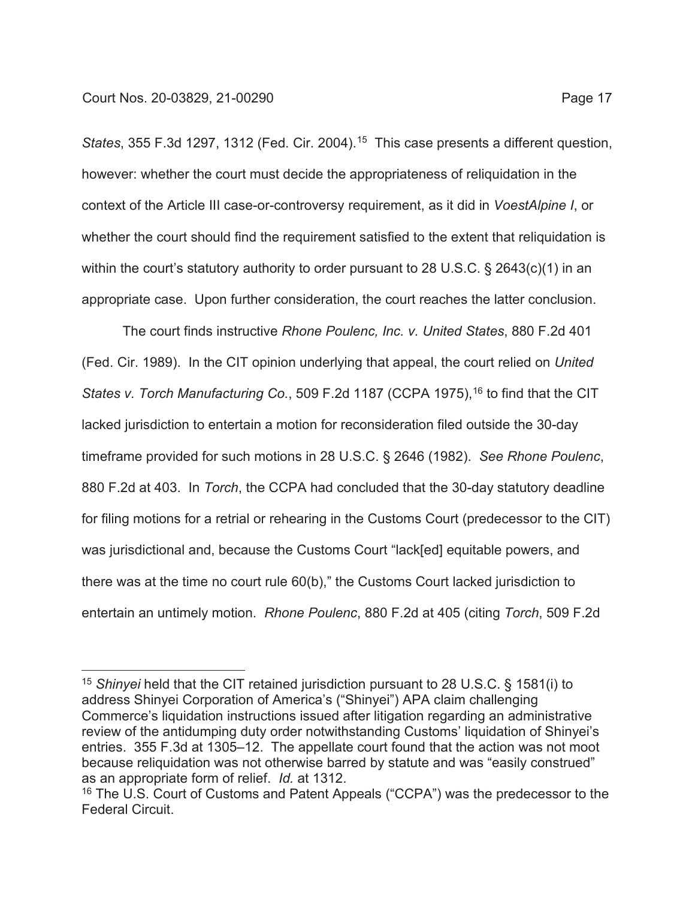*States*, 355 F.3d 1297, 1312 (Fed. Cir. 2004).15 This case presents a different question, however: whether the court must decide the appropriateness of reliquidation in the context of the Article III case-or-controversy requirement, as it did in *VoestAlpine I*, or whether the court should find the requirement satisfied to the extent that reliquidation is within the court's statutory authority to order pursuant to 28 U.S.C. § 2643(c)(1) in an appropriate case. Upon further consideration, the court reaches the latter conclusion.

The court finds instructive *Rhone Poulenc, Inc. v. United States*, 880 F.2d 401 (Fed. Cir. 1989). In the CIT opinion underlying that appeal, the court relied on *United States v. Torch Manufacturing Co.*, 509 F.2d 1187 (CCPA 1975), <sup>16</sup> to find that the CIT lacked jurisdiction to entertain a motion for reconsideration filed outside the 30-day timeframe provided for such motions in 28 U.S.C. § 2646 (1982). *See Rhone Poulenc*, 880 F.2d at 403. In *Torch*, the CCPA had concluded that the 30-day statutory deadline for filing motions for a retrial or rehearing in the Customs Court (predecessor to the CIT) was jurisdictional and, because the Customs Court "lack[ed] equitable powers, and there was at the time no court rule 60(b)," the Customs Court lacked jurisdiction to entertain an untimely motion. *Rhone Poulenc*, 880 F.2d at 405 (citing *Torch*, 509 F.2d

<sup>15</sup> *Shinyei* held that the CIT retained jurisdiction pursuant to 28 U.S.C. § 1581(i) to address Shinyei Corporation of America's ("Shinyei") APA claim challenging Commerce's liquidation instructions issued after litigation regarding an administrative review of the antidumping duty order notwithstanding Customs' liquidation of Shinyei's entries. 355 F.3d at 1305–12. The appellate court found that the action was not moot because reliquidation was not otherwise barred by statute and was "easily construed" as an appropriate form of relief. *Id.* at 1312.

<sup>&</sup>lt;sup>16</sup> The U.S. Court of Customs and Patent Appeals ("CCPA") was the predecessor to the Federal Circuit.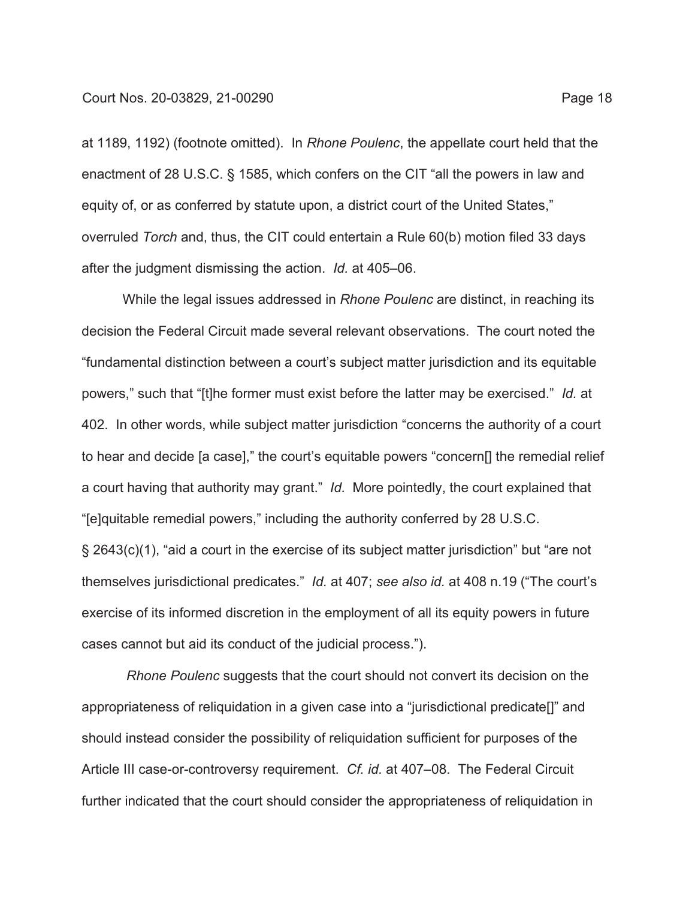at 1189, 1192) (footnote omitted). In *Rhone Poulenc*, the appellate court held that the enactment of 28 U.S.C. § 1585, which confers on the CIT "all the powers in law and equity of, or as conferred by statute upon, a district court of the United States," overruled *Torch* and, thus, the CIT could entertain a Rule 60(b) motion filed 33 days after the judgment dismissing the action. *Id.* at 405–06.

While the legal issues addressed in *Rhone Poulenc* are distinct, in reaching its decision the Federal Circuit made several relevant observations. The court noted the "fundamental distinction between a court's subject matter jurisdiction and its equitable powers," such that "[t]he former must exist before the latter may be exercised." *Id.* at 402. In other words, while subject matter jurisdiction "concerns the authority of a court to hear and decide [a case]," the court's equitable powers "concern[] the remedial relief a court having that authority may grant." *Id.* More pointedly, the court explained that "[e]quitable remedial powers," including the authority conferred by 28 U.S.C. § 2643(c)(1), "aid a court in the exercise of its subject matter jurisdiction" but "are not themselves jurisdictional predicates." *Id.* at 407; *see also id.* at 408 n.19 ("The court's exercise of its informed discretion in the employment of all its equity powers in future

cases cannot but aid its conduct of the judicial process.").

*Rhone Poulenc* suggests that the court should not convert its decision on the appropriateness of reliquidation in a given case into a "jurisdictional predicate[]" and should instead consider the possibility of reliquidation sufficient for purposes of the Article III case-or-controversy requirement. *Cf. id.* at 407–08. The Federal Circuit further indicated that the court should consider the appropriateness of reliquidation in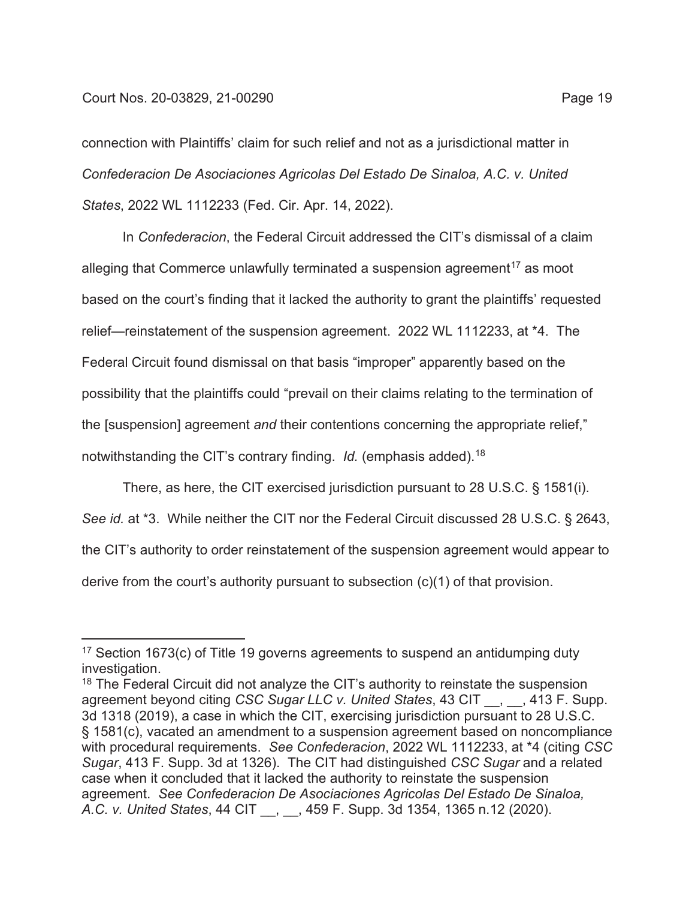connection with Plaintiffs' claim for such relief and not as a jurisdictional matter in *Confederacion De Asociaciones Agricolas Del Estado De Sinaloa, A.C. v. United States*, 2022 WL 1112233 (Fed. Cir. Apr. 14, 2022).

In *Confederacion*, the Federal Circuit addressed the CIT's dismissal of a claim alleging that Commerce unlawfully terminated a suspension agreement<sup>17</sup> as moot based on the court's finding that it lacked the authority to grant the plaintiffs' requested relief—reinstatement of the suspension agreement. 2022 WL 1112233, at \*4. The Federal Circuit found dismissal on that basis "improper" apparently based on the possibility that the plaintiffs could "prevail on their claims relating to the termination of the [suspension] agreement *and* their contentions concerning the appropriate relief," notwithstanding the CIT's contrary finding. *Id.* (emphasis added).18

There, as here, the CIT exercised jurisdiction pursuant to 28 U.S.C. § 1581(i). *See id.* at \*3. While neither the CIT nor the Federal Circuit discussed 28 U.S.C. § 2643, the CIT's authority to order reinstatement of the suspension agreement would appear to derive from the court's authority pursuant to subsection (c)(1) of that provision.

<sup>&</sup>lt;sup>17</sup> Section 1673(c) of Title 19 governs agreements to suspend an antidumping duty investigation.

<sup>&</sup>lt;sup>18</sup> The Federal Circuit did not analyze the CIT's authority to reinstate the suspension agreement beyond citing *CSC Sugar LLC v. United States*, 43 CIT \_\_, \_\_, 413 F. Supp. 3d 1318 (2019), a case in which the CIT, exercising jurisdiction pursuant to 28 U.S.C. § 1581(c), vacated an amendment to a suspension agreement based on noncompliance with procedural requirements. *See Confederacion*, 2022 WL 1112233, at \*4 (citing *CSC Sugar*, 413 F. Supp. 3d at 1326). The CIT had distinguished *CSC Sugar* and a related case when it concluded that it lacked the authority to reinstate the suspension agreement. *See Confederacion De Asociaciones Agricolas Del Estado De Sinaloa, A.C. v. United States*, 44 CIT \_\_, \_\_, 459 F. Supp. 3d 1354, 1365 n.12 (2020).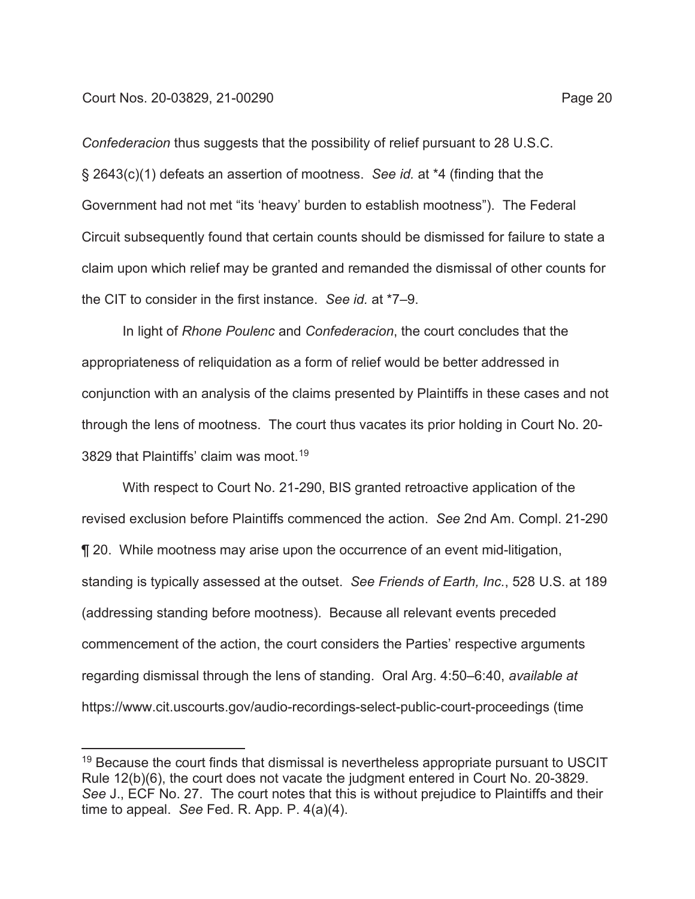*Confederacion* thus suggests that the possibility of relief pursuant to 28 U.S.C. § 2643(c)(1) defeats an assertion of mootness. *See id.* at \*4 (finding that the Government had not met "its 'heavy' burden to establish mootness"). The Federal Circuit subsequently found that certain counts should be dismissed for failure to state a claim upon which relief may be granted and remanded the dismissal of other counts for the CIT to consider in the first instance. *See id.* at \*7–9.

In light of *Rhone Poulenc* and *Confederacion*, the court concludes that the appropriateness of reliquidation as a form of relief would be better addressed in conjunction with an analysis of the claims presented by Plaintiffs in these cases and not through the lens of mootness. The court thus vacates its prior holding in Court No. 20- 3829 that Plaintiffs' claim was moot.<sup>19</sup>

With respect to Court No. 21-290, BIS granted retroactive application of the revised exclusion before Plaintiffs commenced the action. *See* 2nd Am. Compl. 21-290 ¶ 20. While mootness may arise upon the occurrence of an event mid-litigation, standing is typically assessed at the outset. *See Friends of Earth, Inc.*, 528 U.S. at 189 (addressing standing before mootness). Because all relevant events preceded commencement of the action, the court considers the Parties' respective arguments regarding dismissal through the lens of standing. Oral Arg. 4:50–6:40, *available at* https://www.cit.uscourts.gov/audio-recordings-select-public-court-proceedings (time

 $19$  Because the court finds that dismissal is nevertheless appropriate pursuant to USCIT Rule 12(b)(6), the court does not vacate the judgment entered in Court No. 20-3829. *See* J., ECF No. 27. The court notes that this is without prejudice to Plaintiffs and their time to appeal. *See* Fed. R. App. P. 4(a)(4).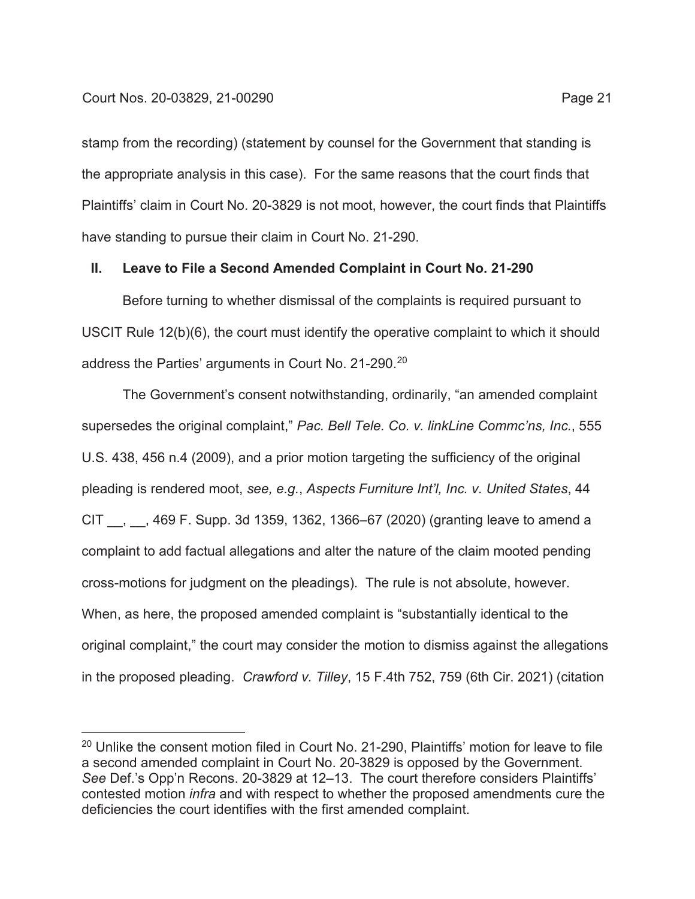stamp from the recording) (statement by counsel for the Government that standing is the appropriate analysis in this case). For the same reasons that the court finds that Plaintiffs' claim in Court No. 20-3829 is not moot, however, the court finds that Plaintiffs have standing to pursue their claim in Court No. 21-290.

## **II. Leave to File a Second Amended Complaint in Court No. 21-290**

Before turning to whether dismissal of the complaints is required pursuant to USCIT Rule 12(b)(6), the court must identify the operative complaint to which it should address the Parties' arguments in Court No. 21-290.<sup>20</sup>

The Government's consent notwithstanding, ordinarily, "an amended complaint supersedes the original complaint," *Pac. Bell Tele. Co. v. linkLine Commc'ns, Inc.*, 555 U.S. 438, 456 n.4 (2009), and a prior motion targeting the sufficiency of the original pleading is rendered moot, *see, e.g.*, *Aspects Furniture Int'l, Inc. v. United States*, 44 CIT \_\_, \_\_, 469 F. Supp. 3d 1359, 1362, 1366–67 (2020) (granting leave to amend a complaint to add factual allegations and alter the nature of the claim mooted pending cross-motions for judgment on the pleadings). The rule is not absolute, however. When, as here, the proposed amended complaint is "substantially identical to the original complaint," the court may consider the motion to dismiss against the allegations in the proposed pleading. *Crawford v. Tilley*, 15 F.4th 752, 759 (6th Cir. 2021) (citation

<sup>&</sup>lt;sup>20</sup> Unlike the consent motion filed in Court No. 21-290, Plaintiffs' motion for leave to file a second amended complaint in Court No. 20-3829 is opposed by the Government. *See* Def.'s Opp'n Recons. 20-3829 at 12–13. The court therefore considers Plaintiffs' contested motion *infra* and with respect to whether the proposed amendments cure the deficiencies the court identifies with the first amended complaint.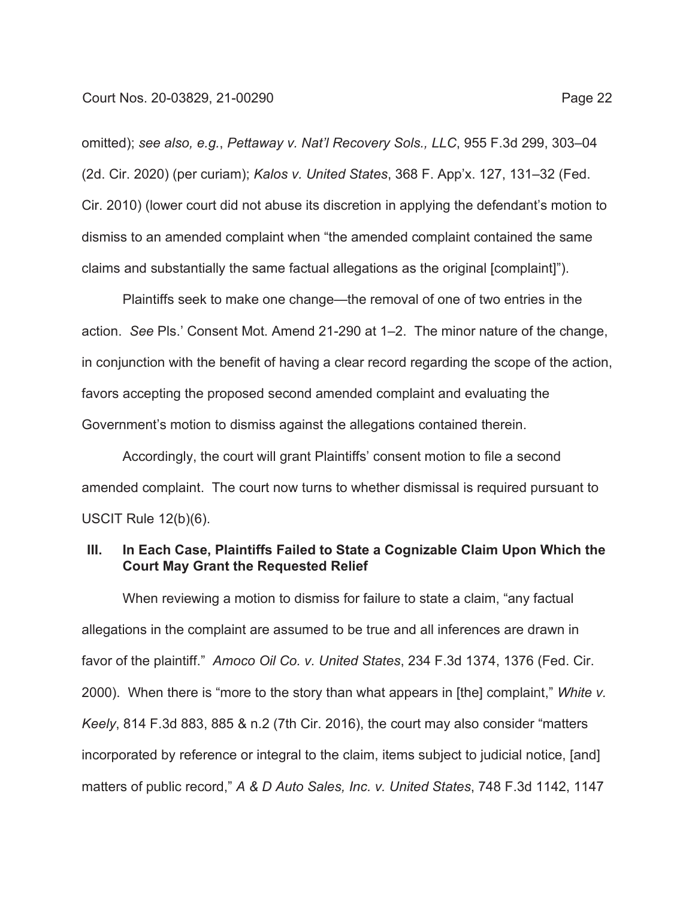omitted); *see also, e.g.*, *Pettaway v. Nat'l Recovery Sols., LLC*, 955 F.3d 299, 303–04 (2d. Cir. 2020) (per curiam); *Kalos v. United States*, 368 F. App'x. 127, 131–32 (Fed. Cir. 2010) (lower court did not abuse its discretion in applying the defendant's motion to dismiss to an amended complaint when "the amended complaint contained the same claims and substantially the same factual allegations as the original [complaint]").

Plaintiffs seek to make one change—the removal of one of two entries in the action. *See* Pls.' Consent Mot. Amend 21-290 at 1–2. The minor nature of the change, in conjunction with the benefit of having a clear record regarding the scope of the action, favors accepting the proposed second amended complaint and evaluating the Government's motion to dismiss against the allegations contained therein.

Accordingly, the court will grant Plaintiffs' consent motion to file a second amended complaint. The court now turns to whether dismissal is required pursuant to USCIT Rule 12(b)(6).

## **III. In Each Case, Plaintiffs Failed to State a Cognizable Claim Upon Which the Court May Grant the Requested Relief**

When reviewing a motion to dismiss for failure to state a claim, "any factual allegations in the complaint are assumed to be true and all inferences are drawn in favor of the plaintiff." *Amoco Oil Co. v. United States*, 234 F.3d 1374, 1376 (Fed. Cir. 2000). When there is "more to the story than what appears in [the] complaint," *White v. Keely*, 814 F.3d 883, 885 & n.2 (7th Cir. 2016), the court may also consider "matters incorporated by reference or integral to the claim, items subject to judicial notice, [and] matters of public record," *A & D Auto Sales, Inc. v. United States*, 748 F.3d 1142, 1147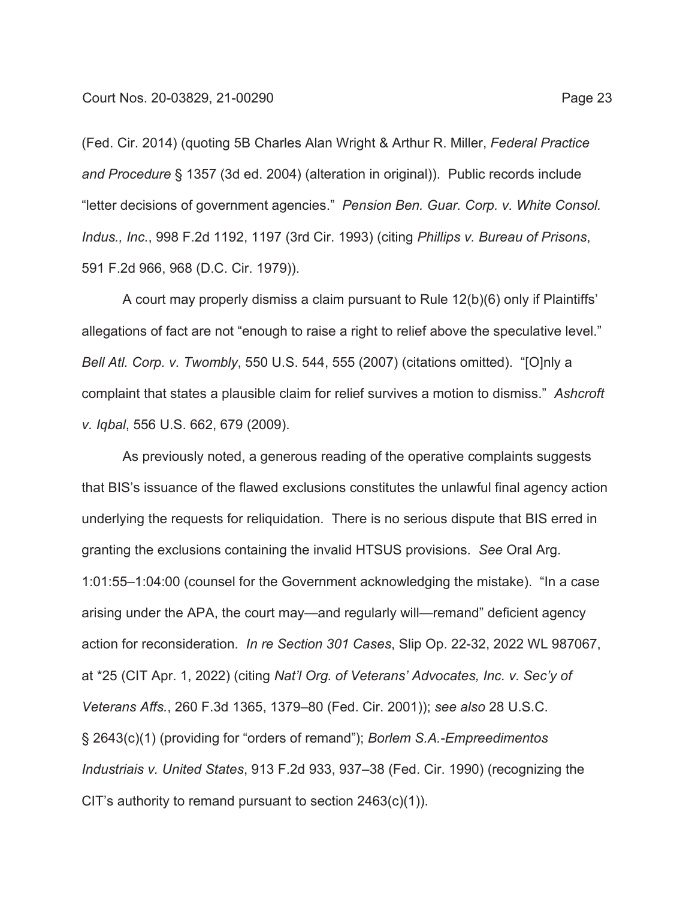(Fed. Cir. 2014) (quoting 5B Charles Alan Wright & Arthur R. Miller, *Federal Practice and Procedure* § 1357 (3d ed. 2004) (alteration in original)). Public records include "letter decisions of government agencies." *Pension Ben. Guar. Corp. v. White Consol. Indus., Inc.*, 998 F.2d 1192, 1197 (3rd Cir. 1993) (citing *Phillips v. Bureau of Prisons*, 591 F.2d 966, 968 (D.C. Cir. 1979)).

A court may properly dismiss a claim pursuant to Rule 12(b)(6) only if Plaintiffs' allegations of fact are not "enough to raise a right to relief above the speculative level." *Bell Atl. Corp. v. Twombly*, 550 U.S. 544, 555 (2007) (citations omitted). "[O]nly a complaint that states a plausible claim for relief survives a motion to dismiss." *Ashcroft v. Iqbal*, 556 U.S. 662, 679 (2009).

As previously noted, a generous reading of the operative complaints suggests that BIS's issuance of the flawed exclusions constitutes the unlawful final agency action underlying the requests for reliquidation. There is no serious dispute that BIS erred in granting the exclusions containing the invalid HTSUS provisions. *See* Oral Arg. 1:01:55–1:04:00 (counsel for the Government acknowledging the mistake). "In a case arising under the APA, the court may—and regularly will—remand" deficient agency action for reconsideration. *In re Section 301 Cases*, Slip Op. 22-32, 2022 WL 987067, at \*25 (CIT Apr. 1, 2022) (citing *Nat'l Org. of Veterans' Advocates, Inc. v. Sec'y of Veterans Affs.*, 260 F.3d 1365, 1379–80 (Fed. Cir. 2001)); *see also* 28 U.S.C. § 2643(c)(1) (providing for "orders of remand"); *Borlem S.A.-Empreedimentos Industriais v. United States*, 913 F.2d 933, 937–38 (Fed. Cir. 1990) (recognizing the CIT's authority to remand pursuant to section 2463(c)(1)).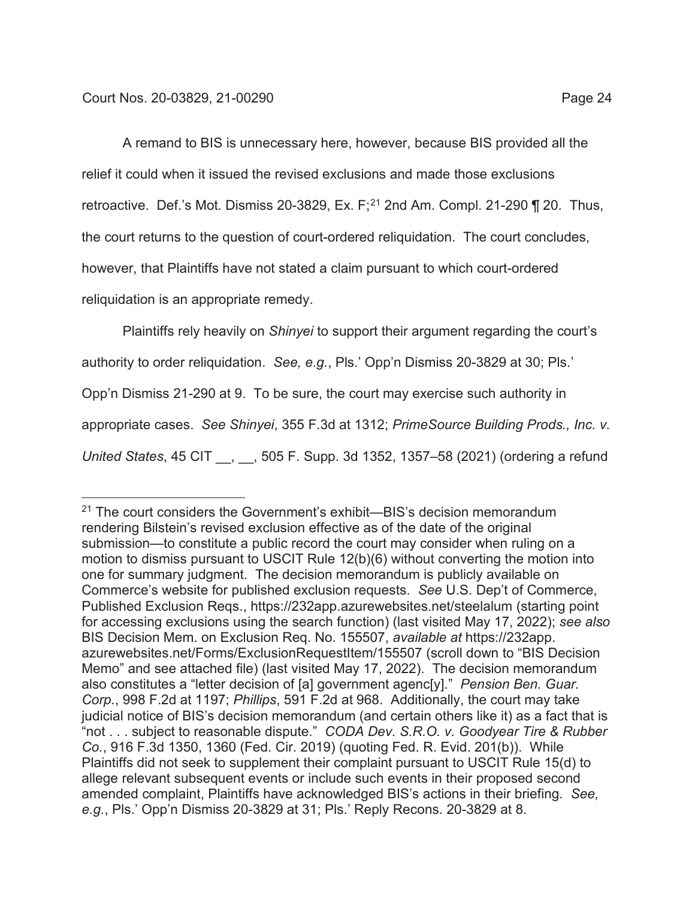A remand to BIS is unnecessary here, however, because BIS provided all the relief it could when it issued the revised exclusions and made those exclusions retroactive. Def.'s Mot. Dismiss 20-3829, Ex.  $F$ ;<sup>21</sup> 2nd Am. Compl. 21-290  $\P$  20. Thus, the court returns to the question of court-ordered reliquidation. The court concludes, however, that Plaintiffs have not stated a claim pursuant to which court-ordered reliquidation is an appropriate remedy.

Plaintiffs rely heavily on *Shinyei* to support their argument regarding the court's authority to order reliquidation. *See, e.g.*, Pls.' Opp'n Dismiss 20-3829 at 30; Pls.' Opp'n Dismiss 21-290 at 9. To be sure, the court may exercise such authority in appropriate cases. *See Shinyei*, 355 F.3d at 1312; *PrimeSource Building Prods., Inc. v. United States*, 45 CIT \_\_, \_\_, 505 F. Supp. 3d 1352, 1357–58 (2021) (ordering a refund

<sup>&</sup>lt;sup>21</sup> The court considers the Government's exhibit—BIS's decision memorandum rendering Bilstein's revised exclusion effective as of the date of the original submission—to constitute a public record the court may consider when ruling on a motion to dismiss pursuant to USCIT Rule 12(b)(6) without converting the motion into one for summary judgment. The decision memorandum is publicly available on Commerce's website for published exclusion requests. *See* U.S. Dep't of Commerce, Published Exclusion Reqs., https://232app.azurewebsites.net/steelalum (starting point for accessing exclusions using the search function) (last visited May 17, 2022); *see also*  BIS Decision Mem. on Exclusion Req. No. 155507, *available at* https://232app. azurewebsites.net/Forms/ExclusionRequestItem/155507 (scroll down to "BIS Decision Memo" and see attached file) (last visited May 17, 2022). The decision memorandum also constitutes a "letter decision of [a] government agenc[y]." *Pension Ben. Guar. Corp.*, 998 F.2d at 1197; *Phillips*, 591 F.2d at 968. Additionally, the court may take judicial notice of BIS's decision memorandum (and certain others like it) as a fact that is "not . . . subject to reasonable dispute." *CODA Dev. S.R.O. v. Goodyear Tire & Rubber Co.*, 916 F.3d 1350, 1360 (Fed. Cir. 2019) (quoting Fed. R. Evid. 201(b)). While Plaintiffs did not seek to supplement their complaint pursuant to USCIT Rule 15(d) to allege relevant subsequent events or include such events in their proposed second amended complaint, Plaintiffs have acknowledged BIS's actions in their briefing. *See, e.g.*, Pls.' Opp'n Dismiss 20-3829 at 31; Pls.' Reply Recons. 20-3829 at 8.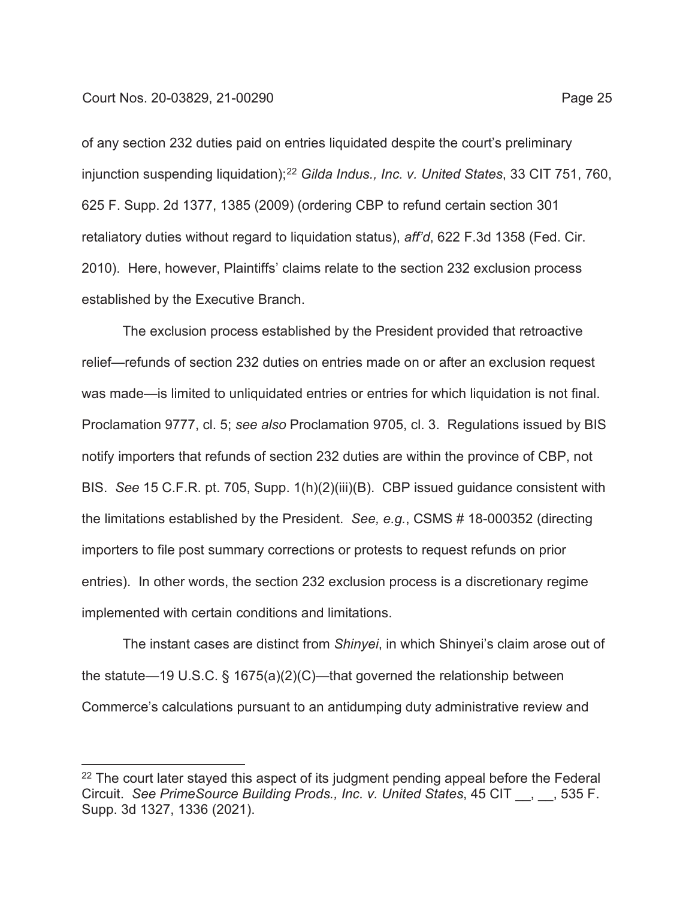of any section 232 duties paid on entries liquidated despite the court's preliminary injunction suspending liquidation);<sup>22</sup> Gilda Indus., Inc. v. United States, 33 CIT 751, 760, 625 F. Supp. 2d 1377, 1385 (2009) (ordering CBP to refund certain section 301 retaliatory duties without regard to liquidation status), *aff'd*, 622 F.3d 1358 (Fed. Cir. 2010). Here, however, Plaintiffs' claims relate to the section 232 exclusion process established by the Executive Branch.

The exclusion process established by the President provided that retroactive relief—refunds of section 232 duties on entries made on or after an exclusion request was made—is limited to unliquidated entries or entries for which liquidation is not final. Proclamation 9777, cl. 5; *see also* Proclamation 9705, cl. 3. Regulations issued by BIS notify importers that refunds of section 232 duties are within the province of CBP, not BIS. *See* 15 C.F.R. pt. 705, Supp. 1(h)(2)(iii)(B). CBP issued guidance consistent with the limitations established by the President. *See, e.g.*, CSMS # 18-000352 (directing importers to file post summary corrections or protests to request refunds on prior entries). In other words, the section 232 exclusion process is a discretionary regime implemented with certain conditions and limitations.

The instant cases are distinct from *Shinyei*, in which Shinyei's claim arose out of the statute—19 U.S.C. § 1675(a)(2)(C)—that governed the relationship between Commerce's calculations pursuant to an antidumping duty administrative review and

 $22$  The court later stayed this aspect of its judgment pending appeal before the Federal Circuit. *See PrimeSource Building Prods., Inc. v. United States*, 45 CIT \_\_, \_\_, 535 F. Supp. 3d 1327, 1336 (2021).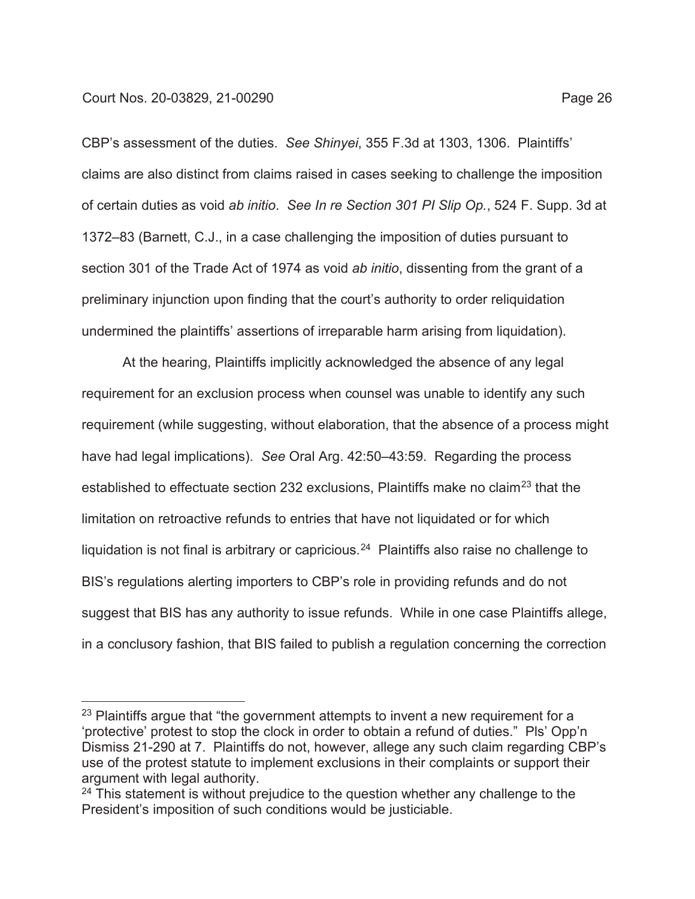CBP's assessment of the duties. *See Shinyei*, 355 F.3d at 1303, 1306. Plaintiffs' claims are also distinct from claims raised in cases seeking to challenge the imposition of certain duties as void *ab initio*. *See In re Section 301 PI Slip Op.*, 524 F. Supp. 3d at 1372–83 (Barnett, C.J., in a case challenging the imposition of duties pursuant to section 301 of the Trade Act of 1974 as void *ab initio*, dissenting from the grant of a preliminary injunction upon finding that the court's authority to order reliquidation undermined the plaintiffs' assertions of irreparable harm arising from liquidation).

At the hearing, Plaintiffs implicitly acknowledged the absence of any legal requirement for an exclusion process when counsel was unable to identify any such requirement (while suggesting, without elaboration, that the absence of a process might have had legal implications). *See* Oral Arg. 42:50–43:59. Regarding the process established to effectuate section 232 exclusions, Plaintiffs make no claim<sup>23</sup> that the limitation on retroactive refunds to entries that have not liquidated or for which liquidation is not final is arbitrary or capricious.<sup>24</sup> Plaintiffs also raise no challenge to BIS's regulations alerting importers to CBP's role in providing refunds and do not suggest that BIS has any authority to issue refunds. While in one case Plaintiffs allege, in a conclusory fashion, that BIS failed to publish a regulation concerning the correction

<sup>&</sup>lt;sup>23</sup> Plaintiffs argue that "the government attempts to invent a new requirement for a 'protective' protest to stop the clock in order to obtain a refund of duties." Pls' Opp'n Dismiss 21-290 at 7. Plaintiffs do not, however, allege any such claim regarding CBP's use of the protest statute to implement exclusions in their complaints or support their argument with legal authority.

 $24$  This statement is without prejudice to the question whether any challenge to the President's imposition of such conditions would be justiciable.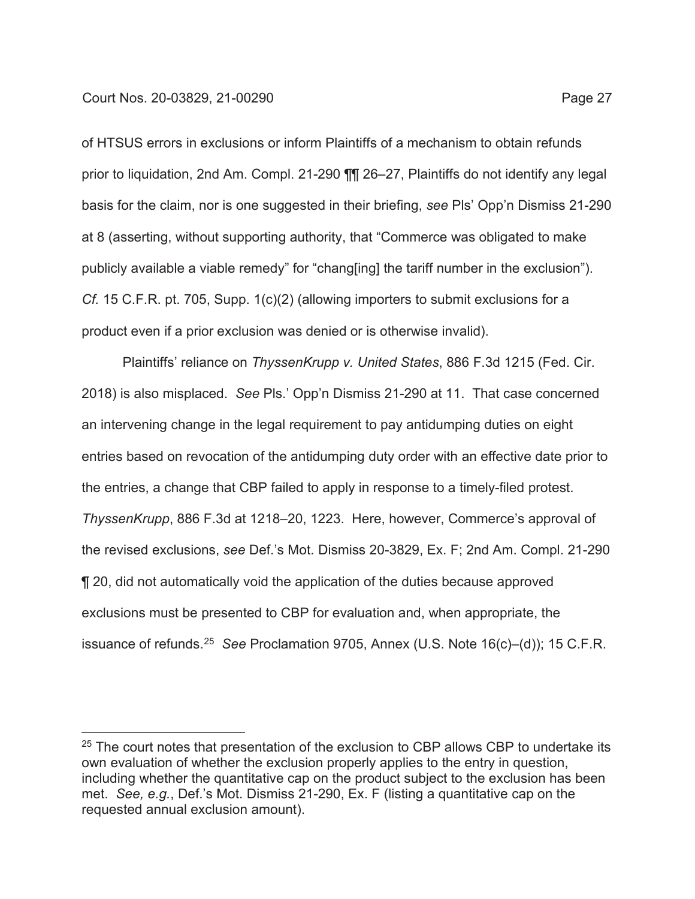of HTSUS errors in exclusions or inform Plaintiffs of a mechanism to obtain refunds prior to liquidation, 2nd Am. Compl. 21-290 ¶¶ 26–27, Plaintiffs do not identify any legal basis for the claim, nor is one suggested in their briefing, *see* Pls' Opp'n Dismiss 21-290 at 8 (asserting, without supporting authority, that "Commerce was obligated to make publicly available a viable remedy" for "chang[ing] the tariff number in the exclusion"). *Cf.* 15 C.F.R. pt. 705, Supp. 1(c)(2) (allowing importers to submit exclusions for a product even if a prior exclusion was denied or is otherwise invalid).

Plaintiffs' reliance on *ThyssenKrupp v. United States*, 886 F.3d 1215 (Fed. Cir. 2018) is also misplaced. *See* Pls.' Opp'n Dismiss 21-290 at 11. That case concerned an intervening change in the legal requirement to pay antidumping duties on eight entries based on revocation of the antidumping duty order with an effective date prior to the entries, a change that CBP failed to apply in response to a timely-filed protest. *ThyssenKrupp*, 886 F.3d at 1218–20, 1223. Here, however, Commerce's approval of the revised exclusions, *see* Def.'s Mot. Dismiss 20-3829, Ex. F; 2nd Am. Compl. 21-290 ¶ 20, did not automatically void the application of the duties because approved exclusions must be presented to CBP for evaluation and, when appropriate, the issuance of refunds.25 *See* Proclamation 9705, Annex (U.S. Note 16(c)–(d)); 15 C.F.R.

 $25$  The court notes that presentation of the exclusion to CBP allows CBP to undertake its own evaluation of whether the exclusion properly applies to the entry in question, including whether the quantitative cap on the product subject to the exclusion has been met. *See, e.g.*, Def.'s Mot. Dismiss 21-290, Ex. F (listing a quantitative cap on the requested annual exclusion amount).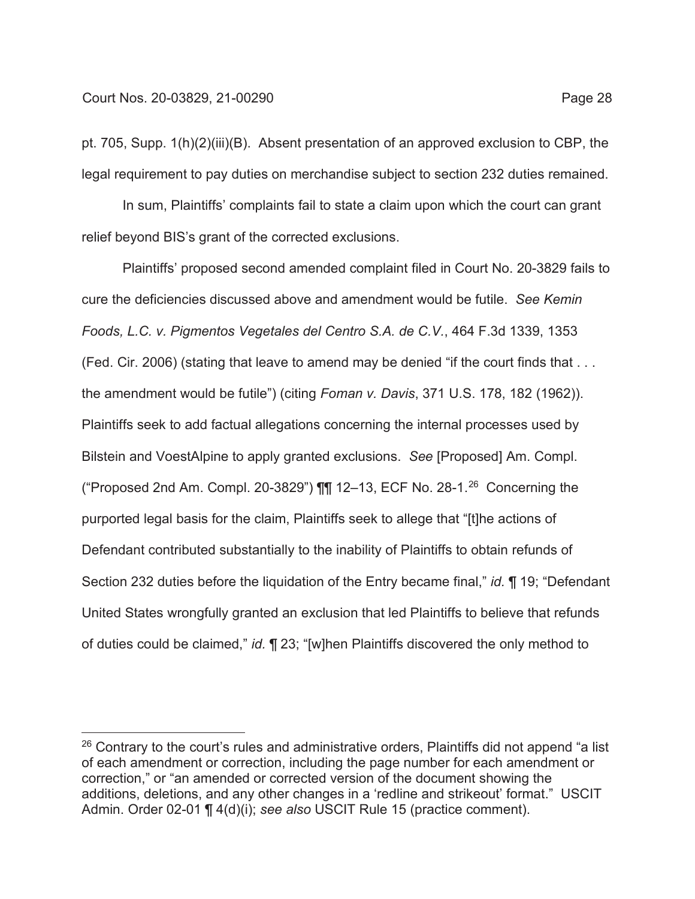pt. 705, Supp. 1(h)(2)(iii)(B). Absent presentation of an approved exclusion to CBP, the legal requirement to pay duties on merchandise subject to section 232 duties remained.

In sum, Plaintiffs' complaints fail to state a claim upon which the court can grant relief beyond BIS's grant of the corrected exclusions.

Plaintiffs' proposed second amended complaint filed in Court No. 20-3829 fails to cure the deficiencies discussed above and amendment would be futile. *See Kemin Foods, L.C. v. Pigmentos Vegetales del Centro S.A. de C.V.*, 464 F.3d 1339, 1353 (Fed. Cir. 2006) (stating that leave to amend may be denied "if the court finds that . . . the amendment would be futile") (citing *Foman v. Davis*, 371 U.S. 178, 182 (1962)). Plaintiffs seek to add factual allegations concerning the internal processes used by Bilstein and VoestAlpine to apply granted exclusions. *See* [Proposed] Am. Compl. ("Proposed 2nd Am. Compl. 20-3829")  $\P\P$  12-13, ECF No. 28-1.<sup>26</sup> Concerning the purported legal basis for the claim, Plaintiffs seek to allege that "[t]he actions of Defendant contributed substantially to the inability of Plaintiffs to obtain refunds of Section 232 duties before the liquidation of the Entry became final," *id.* ¶ 19; "Defendant United States wrongfully granted an exclusion that led Plaintiffs to believe that refunds of duties could be claimed," *id.* ¶ 23; "[w]hen Plaintiffs discovered the only method to

 $26$  Contrary to the court's rules and administrative orders, Plaintiffs did not append "a list of each amendment or correction, including the page number for each amendment or correction," or "an amended or corrected version of the document showing the additions, deletions, and any other changes in a 'redline and strikeout' format." USCIT Admin. Order 02-01 ¶ 4(d)(i); *see also* USCIT Rule 15 (practice comment).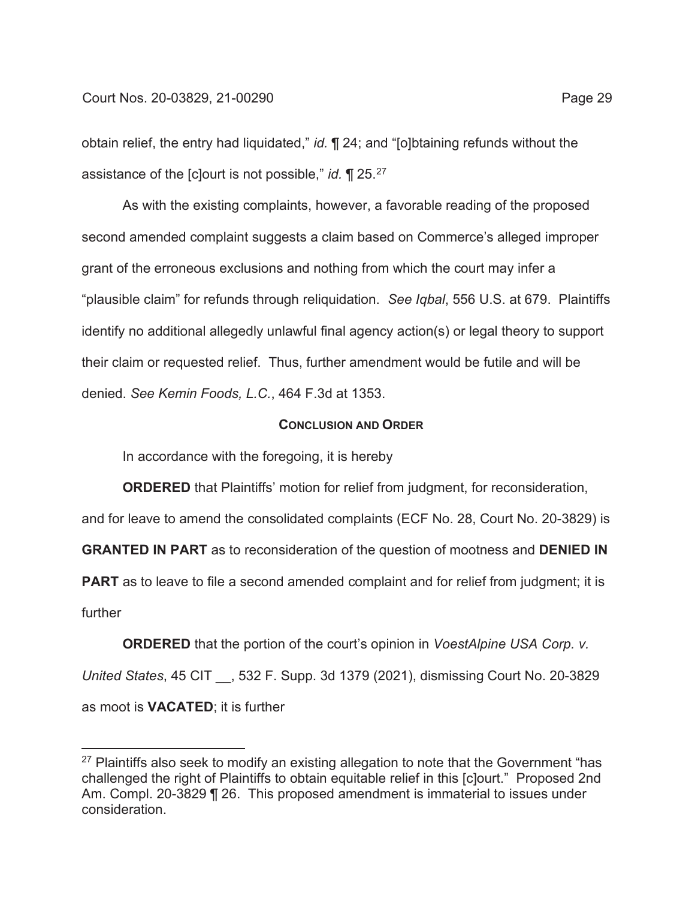obtain relief, the entry had liquidated," *id.* ¶ 24; and "[o]btaining refunds without the assistance of the [c]ourt is not possible," *id.* ¶ 25.27

As with the existing complaints, however, a favorable reading of the proposed second amended complaint suggests a claim based on Commerce's alleged improper grant of the erroneous exclusions and nothing from which the court may infer a "plausible claim" for refunds through reliquidation. *See Iqbal*, 556 U.S. at 679. Plaintiffs identify no additional allegedly unlawful final agency action(s) or legal theory to support their claim or requested relief. Thus, further amendment would be futile and will be denied. *See Kemin Foods, L.C.*, 464 F.3d at 1353.

### **CONCLUSION AND ORDER**

In accordance with the foregoing, it is hereby

**ORDERED** that Plaintiffs' motion for relief from judgment, for reconsideration,

and for leave to amend the consolidated complaints (ECF No. 28, Court No. 20-3829) is

**GRANTED IN PART** as to reconsideration of the question of mootness and **DENIED IN** 

**PART** as to leave to file a second amended complaint and for relief from judgment; it is further

**ORDERED** that the portion of the court's opinion in *VoestAlpine USA Corp. v. United States*, 45 CIT \_\_, 532 F. Supp. 3d 1379 (2021), dismissing Court No. 20-3829 as moot is **VACATED**; it is further

 $27$  Plaintiffs also seek to modify an existing allegation to note that the Government "has challenged the right of Plaintiffs to obtain equitable relief in this [c]ourt." Proposed 2nd Am. Compl. 20-3829 ¶ 26. This proposed amendment is immaterial to issues under consideration.